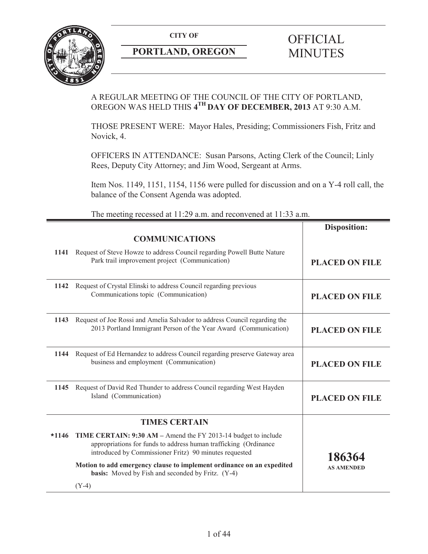

# **PORTLAND, OREGON MINUTES**

# **CITY OF** OFFICIAL

# A REGULAR MEETING OF THE COUNCIL OF THE CITY OF PORTLAND, OREGON WAS HELD THIS **4TH DAY OF DECEMBER, 2013** AT 9:30 A.M.

THOSE PRESENT WERE: Mayor Hales, Presiding; Commissioners Fish, Fritz and Novick, 4.

OFFICERS IN ATTENDANCE: Susan Parsons, Acting Clerk of the Council; Linly Rees, Deputy City Attorney; and Jim Wood, Sergeant at Arms.

Item Nos. 1149, 1151, 1154, 1156 were pulled for discussion and on a Y-4 roll call, the balance of the Consent Agenda was adopted.

The meeting recessed at 11:29 a.m. and reconvened at 11:33 a.m.

|         | <b>COMMUNICATIONS</b>                                                                                                                                                                        | <b>Disposition:</b>   |
|---------|----------------------------------------------------------------------------------------------------------------------------------------------------------------------------------------------|-----------------------|
|         | 1141 Request of Steve Howze to address Council regarding Powell Butte Nature<br>Park trail improvement project (Communication)                                                               | <b>PLACED ON FILE</b> |
| 1142    | Request of Crystal Elinski to address Council regarding previous<br>Communications topic (Communication)                                                                                     | <b>PLACED ON FILE</b> |
| 1143    | Request of Joe Rossi and Amelia Salvador to address Council regarding the<br>2013 Portland Immigrant Person of the Year Award (Communication)                                                | <b>PLACED ON FILE</b> |
| 1144    | Request of Ed Hernandez to address Council regarding preserve Gateway area<br>business and employment (Communication)                                                                        | <b>PLACED ON FILE</b> |
|         | 1145 Request of David Red Thunder to address Council regarding West Hayden<br>Island (Communication)                                                                                         | <b>PLACED ON FILE</b> |
|         | <b>TIMES CERTAIN</b>                                                                                                                                                                         |                       |
| $*1146$ | TIME CERTAIN: 9:30 AM – Amend the FY 2013-14 budget to include<br>appropriations for funds to address human trafficking (Ordinance<br>introduced by Commissioner Fritz) 90 minutes requested | 186364                |
|         | Motion to add emergency clause to implement ordinance on an expedited<br><b>basis:</b> Moved by Fish and seconded by Fritz. (Y-4)                                                            | <b>AS AMENDED</b>     |
|         | $(Y-4)$                                                                                                                                                                                      |                       |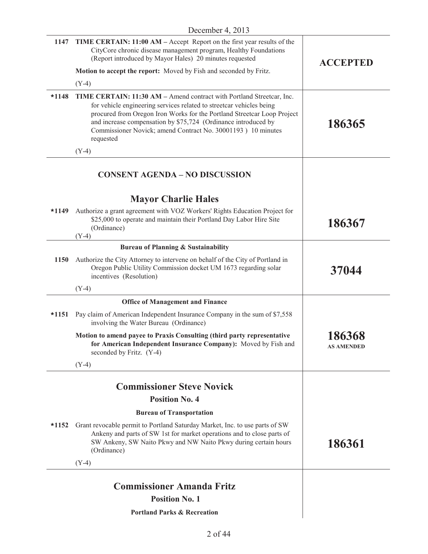|             | 1147 TIME CERTAIN: 11:00 AM – Accept Report on the first year results of the<br>CityCore chronic disease management program, Healthy Foundations<br>(Report introduced by Mayor Hales) 20 minutes requested                                                                                                                                                             | <b>ACCEPTED</b>             |
|-------------|-------------------------------------------------------------------------------------------------------------------------------------------------------------------------------------------------------------------------------------------------------------------------------------------------------------------------------------------------------------------------|-----------------------------|
|             | Motion to accept the report: Moved by Fish and seconded by Fritz.                                                                                                                                                                                                                                                                                                       |                             |
|             | $(Y-4)$                                                                                                                                                                                                                                                                                                                                                                 |                             |
| $*1148$     | TIME CERTAIN: 11:30 AM - Amend contract with Portland Streetcar, Inc.<br>for vehicle engineering services related to streetcar vehicles being<br>procured from Oregon Iron Works for the Portland Streetcar Loop Project<br>and increase compensation by \$75,724 (Ordinance introduced by<br>Commissioner Novick; amend Contract No. 30001193) 10 minutes<br>requested | 186365                      |
|             | $(Y-4)$                                                                                                                                                                                                                                                                                                                                                                 |                             |
|             | <b>CONSENT AGENDA - NO DISCUSSION</b>                                                                                                                                                                                                                                                                                                                                   |                             |
|             | <b>Mayor Charlie Hales</b>                                                                                                                                                                                                                                                                                                                                              |                             |
| *1149       | Authorize a grant agreement with VOZ Workers' Rights Education Project for<br>\$25,000 to operate and maintain their Portland Day Labor Hire Site<br>(Ordinance)<br>$(Y-4)$                                                                                                                                                                                             | 186367                      |
|             | <b>Bureau of Planning &amp; Sustainability</b>                                                                                                                                                                                                                                                                                                                          |                             |
| <b>1150</b> | Authorize the City Attorney to intervene on behalf of the City of Portland in<br>Oregon Public Utility Commission docket UM 1673 regarding solar<br>incentives (Resolution)                                                                                                                                                                                             | 37044                       |
|             | $(Y-4)$                                                                                                                                                                                                                                                                                                                                                                 |                             |
|             | <b>Office of Management and Finance</b>                                                                                                                                                                                                                                                                                                                                 |                             |
| $*1151$     | Pay claim of American Independent Insurance Company in the sum of \$7,558<br>involving the Water Bureau (Ordinance)                                                                                                                                                                                                                                                     |                             |
|             | Motion to amend payee to Praxis Consulting (third party representative<br>for American Independent Insurance Company): Moved by Fish and<br>seconded by Fritz. (Y-4)                                                                                                                                                                                                    | 186368<br><b>AS AMENDED</b> |
|             | $(Y-4)$                                                                                                                                                                                                                                                                                                                                                                 |                             |
|             | <b>Commissioner Steve Novick</b>                                                                                                                                                                                                                                                                                                                                        |                             |
|             | <b>Position No. 4</b>                                                                                                                                                                                                                                                                                                                                                   |                             |
|             | <b>Bureau of Transportation</b>                                                                                                                                                                                                                                                                                                                                         |                             |
| $*1152$     | Grant revocable permit to Portland Saturday Market, Inc. to use parts of SW<br>Ankeny and parts of SW 1st for market operations and to close parts of<br>SW Ankeny, SW Naito Pkwy and NW Naito Pkwy during certain hours<br>(Ordinance)                                                                                                                                 | 186361                      |
|             | $(Y-4)$                                                                                                                                                                                                                                                                                                                                                                 |                             |
|             | <b>Commissioner Amanda Fritz</b>                                                                                                                                                                                                                                                                                                                                        |                             |
|             | <b>Position No. 1</b>                                                                                                                                                                                                                                                                                                                                                   |                             |
|             | <b>Portland Parks &amp; Recreation</b>                                                                                                                                                                                                                                                                                                                                  |                             |
|             |                                                                                                                                                                                                                                                                                                                                                                         |                             |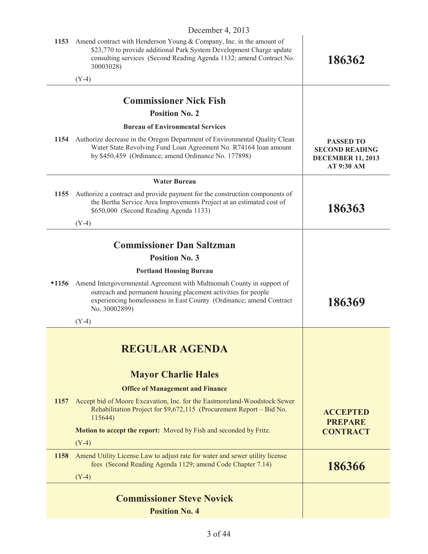|         | $D$ cccinoci 1, $2012$                                                                                                                                                                                                           |                                                                                     |
|---------|----------------------------------------------------------------------------------------------------------------------------------------------------------------------------------------------------------------------------------|-------------------------------------------------------------------------------------|
| 1153    | Amend contract with Henderson Young & Company, Inc. in the amount of<br>\$23,770 to provide additional Park System Development Charge update<br>consulting services (Second Reading Agenda 1132; amend Contract No.<br>30003028) | 186362                                                                              |
|         | $(Y-4)$                                                                                                                                                                                                                          |                                                                                     |
|         | <b>Commissioner Nick Fish</b>                                                                                                                                                                                                    |                                                                                     |
|         | <b>Position No. 2</b>                                                                                                                                                                                                            |                                                                                     |
|         | <b>Bureau of Environmental Services</b>                                                                                                                                                                                          |                                                                                     |
| 1154    | Authorize decrease in the Oregon Department of Environmental Quality Clean<br>Water State Revolving Fund Loan Agreement No. R74164 loan amount<br>by \$450,459 (Ordinance; amend Ordinance No. 177898)                           | <b>PASSED TO</b><br><b>SECOND READING</b><br><b>DECEMBER 11, 2013</b><br>AT 9:30 AM |
|         | <b>Water Bureau</b>                                                                                                                                                                                                              |                                                                                     |
| 1155    | Authorize a contract and provide payment for the construction components of<br>the Bertha Service Area Improvements Project at an estimated cost of<br>\$650,000 (Second Reading Agenda 1133)                                    | 186363                                                                              |
|         | $(Y-4)$                                                                                                                                                                                                                          |                                                                                     |
|         | <b>Commissioner Dan Saltzman</b>                                                                                                                                                                                                 |                                                                                     |
|         | <b>Position No. 3</b>                                                                                                                                                                                                            |                                                                                     |
|         | <b>Portland Housing Bureau</b>                                                                                                                                                                                                   |                                                                                     |
| $*1156$ | Amend Intergovernmental Agreement with Multnomah County in support of<br>outreach and permanent housing placement activities for people<br>experiencing homelessness in East County (Ordinance; amend Contract<br>No. 30002899)  | 186369                                                                              |
|         | $(Y-4)$                                                                                                                                                                                                                          |                                                                                     |
|         | <b>REGULAR AGENDA</b>                                                                                                                                                                                                            |                                                                                     |
|         | <b>Mayor Charlie Hales</b>                                                                                                                                                                                                       |                                                                                     |
|         | <b>Office of Management and Finance</b>                                                                                                                                                                                          |                                                                                     |
| 1157    | Accept bid of Moore Excavation, Inc. for the Eastmoreland-Woodstock Sewer<br>Rehabilitation Project for \$9,672,115 (Procurement Report – Bid No.<br>115644)                                                                     | <b>ACCEPTED</b><br><b>PREPARE</b>                                                   |
|         | <b>Motion to accept the report:</b> Moved by Fish and seconded by Fritz.                                                                                                                                                         | <b>CONTRACT</b>                                                                     |
|         | $(Y-4)$                                                                                                                                                                                                                          |                                                                                     |
| 1158    | Amend Utility License Law to adjust rate for water and sewer utility license<br>fees (Second Reading Agenda 1129; amend Code Chapter 7.14)<br>$(Y-4)$                                                                            | 186366                                                                              |
|         |                                                                                                                                                                                                                                  |                                                                                     |
|         | <b>Commissioner Steve Novick</b>                                                                                                                                                                                                 |                                                                                     |
|         | <b>Position No. 4</b>                                                                                                                                                                                                            |                                                                                     |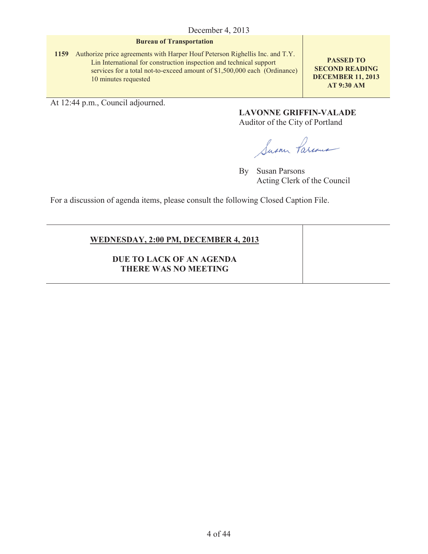#### **Bureau of Transportation**

**1159** Authorize price agreements with Harper Houf Peterson Righellis Inc. and T.Y. Lin International for construction inspection and technical support services for a total not-to-exceed amount of \$1,500,000 each (Ordinance) 10 minutes requested

**PASSED TO SECOND READING DECEMBER 11, 2013 AT 9:30 AM**

At 12:44 p.m., Council adjourned.

**LAVONNE GRIFFIN-VALADE** Auditor of the City of Portland

Susan Parcous

By Susan Parsons Acting Clerk of the Council

For a discussion of agenda items, please consult the following Closed Caption File.

# **WEDNESDAY, 2:00 PM, DECEMBER 4, 2013**

**DUE TO LACK OF AN AGENDA THERE WAS NO MEETING**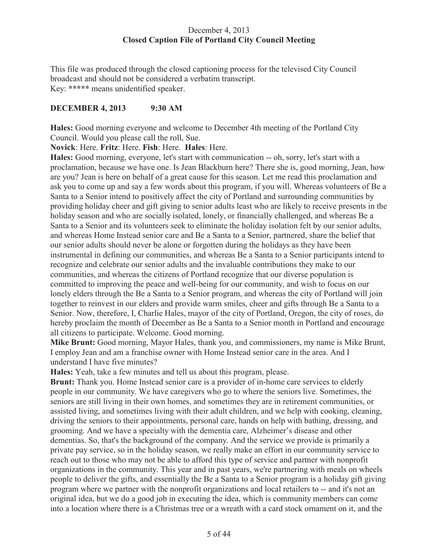# December 4, 2013 **Closed Caption File of Portland City Council Meeting**

This file was produced through the closed captioning process for the televised City Council broadcast and should not be considered a verbatim transcript. Key: **\*\*\*\*\*** means unidentified speaker.

# **DECEMBER 4, 2013 9:30 AM**

**Hales:** Good morning everyone and welcome to December 4th meeting of the Portland City Council. Would you please call the roll, Sue.

**Novick**: Here. **Fritz**: Here. **Fish**: Here. **Hales**: Here.

**Hales:** Good morning, everyone, let's start with communication -- oh, sorry, let's start with a proclamation, because we have one. Is Jean Blackburn here? There she is, good morning, Jean, how are you? Jean is here on behalf of a great cause for this season. Let me read this proclamation and ask you to come up and say a few words about this program, if you will. Whereas volunteers of Be a Santa to a Senior intend to positively affect the city of Portland and surrounding communities by providing holiday cheer and gift giving to senior adults least who are likely to receive presents in the holiday season and who are socially isolated, lonely, or financially challenged, and whereas Be a Santa to a Senior and its volunteers seek to eliminate the holiday isolation felt by our senior adults, and whereas Home Instead senior care and Be a Santa to a Senior, partnered, share the belief that our senior adults should never be alone or forgotten during the holidays as they have been instrumental in defining our communities, and whereas Be a Santa to a Senior participants intend to recognize and celebrate our senior adults and the invaluable contributions they make to our communities, and whereas the citizens of Portland recognize that our diverse population is committed to improving the peace and well-being for our community, and wish to focus on our lonely elders through the Be a Santa to a Senior program, and whereas the city of Portland will join together to reinvest in our elders and provide warm smiles, cheer and gifts through Be a Santa to a Senior. Now, therefore, I, Charlie Hales, mayor of the city of Portland, Oregon, the city of roses, do hereby proclaim the month of December as Be a Santa to a Senior month in Portland and encourage all citizens to participate. Welcome. Good morning.

**Mike Brunt:** Good morning, Mayor Hales, thank you, and commissioners, my name is Mike Brunt, I employ Jean and am a franchise owner with Home Instead senior care in the area. And I understand I have five minutes?

**Hales:** Yeah, take a few minutes and tell us about this program, please.

**Brunt:** Thank you. Home Instead senior care is a provider of in-home care services to elderly people in our community. We have caregivers who go to where the seniors live. Sometimes, the seniors are still living in their own homes, and sometimes they are in retirement communities, or assisted living, and sometimes living with their adult children, and we help with cooking, cleaning, driving the seniors to their appointments, personal care, hands on help with bathing, dressing, and grooming. And we have a specialty with the dementia care, Alzheimer's disease and other dementias. So, that's the background of the company. And the service we provide is primarily a private pay service, so in the holiday season, we really make an effort in our community service to reach out to those who may not be able to afford this type of service and partner with nonprofit organizations in the community. This year and in past years, we're partnering with meals on wheels people to deliver the gifts, and essentially the Be a Santa to a Senior program is a holiday gift giving program where we partner with the nonprofit organizations and local retailers to -- and it's not an original idea, but we do a good job in executing the idea, which is community members can come into a location where there is a Christmas tree or a wreath with a card stock ornament on it, and the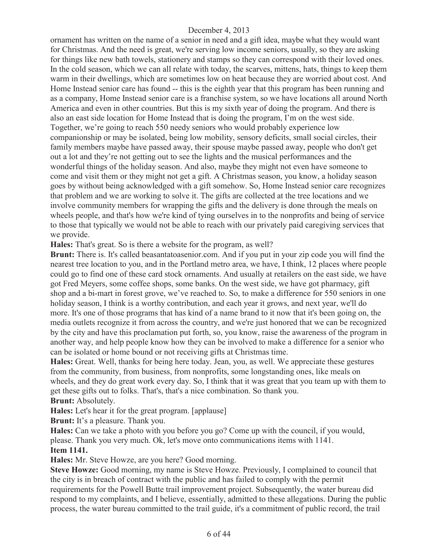ornament has written on the name of a senior in need and a gift idea, maybe what they would want for Christmas. And the need is great, we're serving low income seniors, usually, so they are asking for things like new bath towels, stationery and stamps so they can correspond with their loved ones. In the cold season, which we can all relate with today, the scarves, mittens, hats, things to keep them warm in their dwellings, which are sometimes low on heat because they are worried about cost. And Home Instead senior care has found -- this is the eighth year that this program has been running and as a company, Home Instead senior care is a franchise system, so we have locations all around North America and even in other countries. But this is my sixth year of doing the program. And there is also an east side location for Home Instead that is doing the program, I'm on the west side. Together, we're going to reach 550 needy seniors who would probably experience low companionship or may be isolated, being low mobility, sensory deficits, small social circles, their family members maybe have passed away, their spouse maybe passed away, people who don't get out a lot and they're not getting out to see the lights and the musical performances and the wonderful things of the holiday season. And also, maybe they might not even have someone to come and visit them or they might not get a gift. A Christmas season, you know, a holiday season goes by without being acknowledged with a gift somehow. So, Home Instead senior care recognizes that problem and we are working to solve it. The gifts are collected at the tree locations and we involve community members for wrapping the gifts and the delivery is done through the meals on wheels people, and that's how we're kind of tying ourselves in to the nonprofits and being of service to those that typically we would not be able to reach with our privately paid caregiving services that we provide.

**Hales:** That's great. So is there a website for the program, as well?

**Brunt:** There is. It's called beasantatoasenior.com. And if you put in your zip code you will find the nearest tree location to you, and in the Portland metro area, we have, I think, 12 places where people could go to find one of these card stock ornaments. And usually at retailers on the east side, we have got Fred Meyers, some coffee shops, some banks. On the west side, we have got pharmacy, gift shop and a bi-mart in forest grove, we've reached to. So, to make a difference for 550 seniors in one holiday season, I think is a worthy contribution, and each year it grows, and next year, we'll do more. It's one of those programs that has kind of a name brand to it now that it's been going on, the media outlets recognize it from across the country, and we're just honored that we can be recognized by the city and have this proclamation put forth, so, you know, raise the awareness of the program in another way, and help people know how they can be involved to make a difference for a senior who can be isolated or home bound or not receiving gifts at Christmas time.

**Hales:** Great. Well, thanks for being here today. Jean, you, as well. We appreciate these gestures from the community, from business, from nonprofits, some longstanding ones, like meals on wheels, and they do great work every day. So, I think that it was great that you team up with them to get these gifts out to folks. That's, that's a nice combination. So thank you.

**Brunt:** Absolutely.

**Hales:** Let's hear it for the great program. [applause]

**Brunt:** It's a pleasure. Thank you.

**Hales:** Can we take a photo with you before you go? Come up with the council, if you would, please. Thank you very much. Ok, let's move onto communications items with 1141. **Item 1141.**

**Hales:** Mr. Steve Howze, are you here? Good morning.

**Steve Howze:** Good morning, my name is Steve Howze. Previously, I complained to council that the city is in breach of contract with the public and has failed to comply with the permit requirements for the Powell Butte trail improvement project. Subsequently, the water bureau did respond to my complaints, and I believe, essentially, admitted to these allegations. During the public process, the water bureau committed to the trail guide, it's a commitment of public record, the trail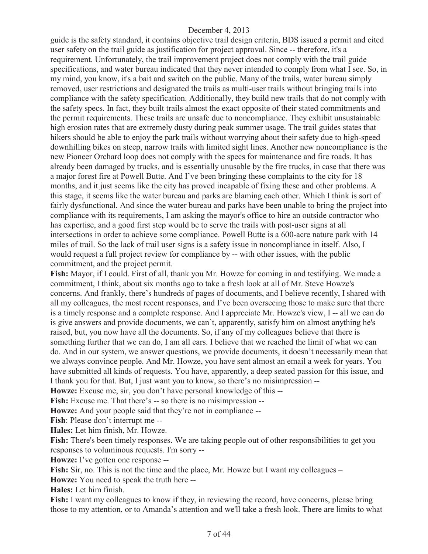guide is the safety standard, it contains objective trail design criteria, BDS issued a permit and cited user safety on the trail guide as justification for project approval. Since -- therefore, it's a requirement. Unfortunately, the trail improvement project does not comply with the trail guide specifications, and water bureau indicated that they never intended to comply from what I see. So, in my mind, you know, it's a bait and switch on the public. Many of the trails, water bureau simply removed, user restrictions and designated the trails as multi-user trails without bringing trails into compliance with the safety specification. Additionally, they build new trails that do not comply with the safety specs. In fact, they built trails almost the exact opposite of their stated commitments and the permit requirements. These trails are unsafe due to noncompliance. They exhibit unsustainable high erosion rates that are extremely dusty during peak summer usage. The trail guides states that hikers should be able to enjoy the park trails without worrying about their safety due to high-speed downhilling bikes on steep, narrow trails with limited sight lines. Another new noncompliance is the new Pioneer Orchard loop does not comply with the specs for maintenance and fire roads. It has already been damaged by trucks, and is essentially unusable by the fire trucks, in case that there was a major forest fire at Powell Butte. And I've been bringing these complaints to the city for 18 months, and it just seems like the city has proved incapable of fixing these and other problems. A this stage, it seems like the water bureau and parks are blaming each other. Which I think is sort of fairly dysfunctional. And since the water bureau and parks have been unable to bring the project into compliance with its requirements, I am asking the mayor's office to hire an outside contractor who has expertise, and a good first step would be to serve the trails with post-user signs at all intersections in order to achieve some compliance. Powell Butte is a 600-acre nature park with 14 miles of trail. So the lack of trail user signs is a safety issue in noncompliance in itself. Also, I would request a full project review for compliance by -- with other issues, with the public commitment, and the project permit.

**Fish:** Mayor, if I could. First of all, thank you Mr. Howze for coming in and testifying. We made a commitment, I think, about six months ago to take a fresh look at all of Mr. Steve Howze's concerns. And frankly, there's hundreds of pages of documents, and I believe recently, I shared with all my colleagues, the most recent responses, and I've been overseeing those to make sure that there is a timely response and a complete response. And I appreciate Mr. Howze's view, I -- all we can do is give answers and provide documents, we can't, apparently, satisfy him on almost anything he's raised, but, you now have all the documents. So, if any of my colleagues believe that there is something further that we can do, I am all ears. I believe that we reached the limit of what we can do. And in our system, we answer questions, we provide documents, it doesn't necessarily mean that we always convince people. And Mr. Howze, you have sent almost an email a week for years. You have submitted all kinds of requests. You have, apparently, a deep seated passion for this issue, and I thank you for that. But, I just want you to know, so there's no misimpression --

**Howze:** Excuse me, sir, you don't have personal knowledge of this --

Fish: Excuse me. That there's -- so there is no misimpression --

**Howze:** And your people said that they're not in compliance --

**Fish**: Please don't interrupt me --

**Hales:** Let him finish, Mr. Howze.

Fish: There's been timely responses. We are taking people out of other responsibilities to get you responses to voluminous requests. I'm sorry --

**Howze:** I've gotten one response --

**Fish:** Sir, no. This is not the time and the place, Mr. Howze but I want my colleagues –

**Howze:** You need to speak the truth here --

**Hales:** Let him finish.

**Fish:** I want my colleagues to know if they, in reviewing the record, have concerns, please bring those to my attention, or to Amanda's attention and we'll take a fresh look. There are limits to what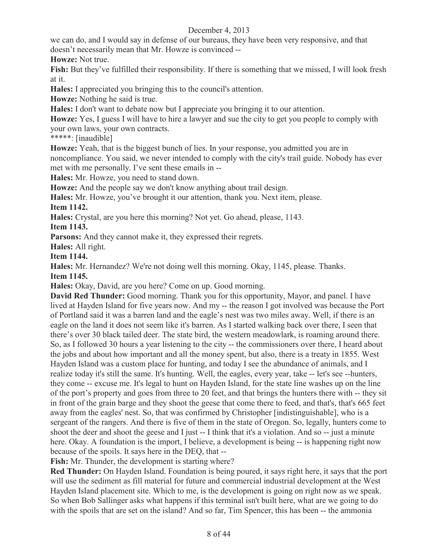we can do, and I would say in defense of our bureaus, they have been very responsive, and that doesn't necessarily mean that Mr. Howze is convinced --

**Howze:** Not true.

**Fish:** But they've fulfilled their responsibility. If there is something that we missed, I will look fresh at it.

**Hales:** I appreciated you bringing this to the council's attention.

**Howze:** Nothing he said is true.

**Hales:** I don't want to debate now but I appreciate you bringing it to our attention.

**Howze:** Yes, I guess I will have to hire a lawyer and sue the city to get you people to comply with your own laws, your own contracts.

\*\*\*\*\*: [inaudible]

**Howze:** Yeah, that is the biggest bunch of lies. In your response, you admitted you are in noncompliance. You said, we never intended to comply with the city's trail guide. Nobody has ever met with me personally. I've sent these emails in --

**Hales:** Mr. Howze, you need to stand down.

**Howze:** And the people say we don't know anything about trail design.

**Hales:** Mr. Howze, you've brought it our attention, thank you. Next item, please. **Item 1142.**

**Hales:** Crystal, are you here this morning? Not yet. Go ahead, please, 1143.

**Item 1143.**

**Parsons:** And they cannot make it, they expressed their regrets.

**Hales:** All right.

**Item 1144.**

**Hales:** Mr. Hernandez? We're not doing well this morning. Okay, 1145, please. Thanks.

**Item 1145.**

**Hales:** Okay, David, are you here? Come on up. Good morning.

**David Red Thunder:** Good morning. Thank you for this opportunity, Mayor, and panel. I have lived at Hayden Island for five years now. And my -- the reason I got involved was because the Port of Portland said it was a barren land and the eagle's nest was two miles away. Well, if there is an eagle on the land it does not seem like it's barren. As I started walking back over there, I seen that there's over 30 black tailed deer. The state bird, the western meadowlark, is roaming around there. So, as I followed 30 hours a year listening to the city -- the commissioners over there, I heard about the jobs and about how important and all the money spent, but also, there is a treaty in 1855. West Hayden Island was a custom place for hunting, and today I see the abundance of animals, and I realize today it's still the same. It's hunting. Well, the eagles, every year, take -- let's see --hunters, they come -- excuse me. It's legal to hunt on Hayden Island, for the state line washes up on the line of the port's property and goes from three to 20 feet, and that brings the hunters there with -- they sit in front of the grain barge and they shoot the geese that come there to feed, and that's, that's 665 feet away from the eagles' nest. So, that was confirmed by Christopher [indistinguishable], who is a sergeant of the rangers. And there is five of them in the state of Oregon. So, legally, hunters come to shoot the deer and shoot the geese and I just -- I think that it's a violation. And so -- just a minute here. Okay. A foundation is the import, I believe, a development is being -- is happening right now because of the spoils. It says here in the DEQ, that --

**Fish:** Mr. Thunder, the development is starting where?

**Red Thunder:** On Hayden Island. Foundation is being poured, it says right here, it says that the port will use the sediment as fill material for future and commercial industrial development at the West Hayden Island placement site. Which to me, is the development is going on right now as we speak. So when Bob Sallinger asks what happens if this terminal isn't built here, what are we going to do with the spoils that are set on the island? And so far, Tim Spencer, this has been -- the ammonia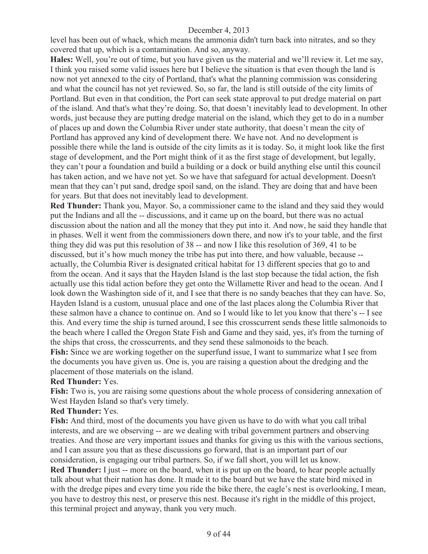level has been out of whack, which means the ammonia didn't turn back into nitrates, and so they covered that up, which is a contamination. And so, anyway.

**Hales:** Well, you're out of time, but you have given us the material and we'll review it. Let me say, I think you raised some valid issues here but I believe the situation is that even though the land is now not yet annexed to the city of Portland, that's what the planning commission was considering and what the council has not yet reviewed. So, so far, the land is still outside of the city limits of Portland. But even in that condition, the Port can seek state approval to put dredge material on part of the island. And that's what they're doing. So, that doesn't inevitably lead to development. In other words, just because they are putting dredge material on the island, which they get to do in a number of places up and down the Columbia River under state authority, that doesn't mean the city of Portland has approved any kind of development there. We have not. And no development is possible there while the land is outside of the city limits as it is today. So, it might look like the first stage of development, and the Port might think of it as the first stage of development, but legally, they can't pour a foundation and build a building or a dock or build anything else until this council has taken action, and we have not yet. So we have that safeguard for actual development. Doesn't mean that they can't put sand, dredge spoil sand, on the island. They are doing that and have been for years. But that does not inevitably lead to development.

**Red Thunder:** Thank you, Mayor. So, a commissioner came to the island and they said they would put the Indians and all the -- discussions, and it came up on the board, but there was no actual discussion about the nation and all the money that they put into it. And now, he said they handle that in phases. Well it went from the commissioners down there, and now it's to your table, and the first thing they did was put this resolution of 38 -- and now I like this resolution of 369, 41 to be discussed, but it's how much money the tribe has put into there, and how valuable, because - actually, the Columbia River is designated critical habitat for 13 different species that go to and from the ocean. And it says that the Hayden Island is the last stop because the tidal action, the fish actually use this tidal action before they get onto the Willamette River and head to the ocean. And I look down the Washington side of it, and I see that there is no sandy beaches that they can have. So, Hayden Island is a custom, unusual place and one of the last places along the Columbia River that these salmon have a chance to continue on. And so I would like to let you know that there's -- I see this. And every time the ship is turned around, I see this crosscurrent sends these little salmonoids to the beach where I called the Oregon State Fish and Game and they said, yes, it's from the turning of the ships that cross, the crosscurrents, and they send these salmonoids to the beach.

**Fish:** Since we are working together on the superfund issue, I want to summarize what I see from the documents you have given us. One is, you are raising a question about the dredging and the placement of those materials on the island.

# **Red Thunder:** Yes.

Fish: Two is, you are raising some questions about the whole process of considering annexation of West Hayden Island so that's very timely.

#### **Red Thunder:** Yes.

**Fish:** And third, most of the documents you have given us have to do with what you call tribal interests, and are we observing -- are we dealing with tribal government partners and observing treaties. And those are very important issues and thanks for giving us this with the various sections, and I can assure you that as these discussions go forward, that is an important part of our consideration, is engaging our tribal partners. So, if we fall short, you will let us know. **Red Thunder:** I just -- more on the board, when it is put up on the board, to hear people actually talk about what their nation has done. It made it to the board but we have the state bird mixed in with the dredge pipes and every time you ride the bike there, the eagle's nest is overlooking, I mean, you have to destroy this nest, or preserve this nest. Because it's right in the middle of this project, this terminal project and anyway, thank you very much.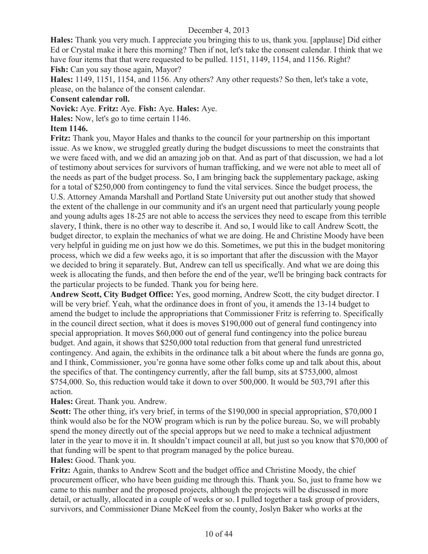**Hales:** Thank you very much. I appreciate you bringing this to us, thank you. [applause] Did either Ed or Crystal make it here this morning? Then if not, let's take the consent calendar. I think that we have four items that that were requested to be pulled. 1151, 1149, 1154, and 1156. Right? **Fish:** Can you say those again, Mayor?

**Hales:** 1149, 1151, 1154, and 1156. Any others? Any other requests? So then, let's take a vote, please, on the balance of the consent calendar.

#### **Consent calendar roll.**

**Novick:** Aye. **Fritz:** Aye. **Fish:** Aye. **Hales:** Aye.

**Hales:** Now, let's go to time certain 1146.

# **Item 1146.**

**Fritz:** Thank you, Mayor Hales and thanks to the council for your partnership on this important issue. As we know, we struggled greatly during the budget discussions to meet the constraints that we were faced with, and we did an amazing job on that. And as part of that discussion, we had a lot of testimony about services for survivors of human trafficking, and we were not able to meet all of the needs as part of the budget process. So, I am bringing back the supplementary package, asking for a total of \$250,000 from contingency to fund the vital services. Since the budget process, the U.S. Attorney Amanda Marshall and Portland State University put out another study that showed the extent of the challenge in our community and it's an urgent need that particularly young people and young adults ages 18-25 are not able to access the services they need to escape from this terrible slavery, I think, there is no other way to describe it. And so, I would like to call Andrew Scott, the budget director, to explain the mechanics of what we are doing. He and Christine Moody have been very helpful in guiding me on just how we do this. Sometimes, we put this in the budget monitoring process, which we did a few weeks ago, it is so important that after the discussion with the Mayor we decided to bring it separately. But, Andrew can tell us specifically. And what we are doing this week is allocating the funds, and then before the end of the year, we'll be bringing back contracts for the particular projects to be funded. Thank you for being here.

**Andrew Scott, City Budget Office:** Yes, good morning, Andrew Scott, the city budget director. I will be very brief. Yeah, what the ordinance does in front of you, it amends the 13-14 budget to amend the budget to include the appropriations that Commissioner Fritz is referring to. Specifically in the council direct section, what it does is moves \$190,000 out of general fund contingency into special appropriation. It moves \$60,000 out of general fund contingency into the police bureau budget. And again, it shows that \$250,000 total reduction from that general fund unrestricted contingency. And again, the exhibits in the ordinance talk a bit about where the funds are gonna go, and I think, Commissioner, you're gonna have some other folks come up and talk about this, about the specifics of that. The contingency currently, after the fall bump, sits at \$753,000, almost \$754,000. So, this reduction would take it down to over 500,000. It would be 503,791 after this action.

# **Hales:** Great. Thank you. Andrew.

**Scott:** The other thing, it's very brief, in terms of the \$190,000 in special appropriation, \$70,000 I think would also be for the NOW program which is run by the police bureau. So, we will probably spend the money directly out of the special approps but we need to make a technical adjustment later in the year to move it in. It shouldn't impact council at all, but just so you know that \$70,000 of that funding will be spent to that program managed by the police bureau.

#### **Hales:** Good. Thank you.

**Fritz:** Again, thanks to Andrew Scott and the budget office and Christine Moody, the chief procurement officer, who have been guiding me through this. Thank you. So, just to frame how we came to this number and the proposed projects, although the projects will be discussed in more detail, or actually, allocated in a couple of weeks or so. I pulled together a task group of providers, survivors, and Commissioner Diane McKeel from the county, Joslyn Baker who works at the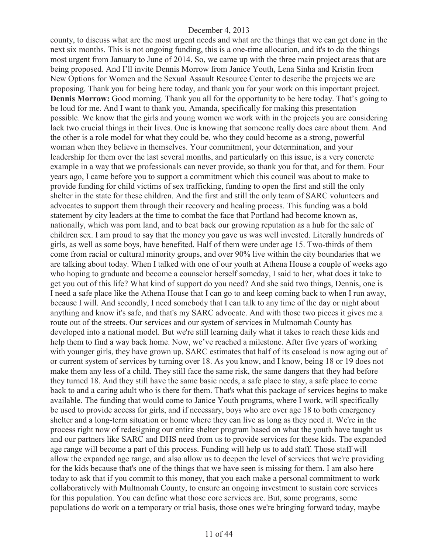county, to discuss what are the most urgent needs and what are the things that we can get done in the next six months. This is not ongoing funding, this is a one-time allocation, and it's to do the things most urgent from January to June of 2014. So, we came up with the three main project areas that are being proposed. And I'll invite Dennis Morrow from Janice Youth, Lena Sinha and Kristin from New Options for Women and the Sexual Assault Resource Center to describe the projects we are proposing. Thank you for being here today, and thank you for your work on this important project. **Dennis Morrow:** Good morning. Thank you all for the opportunity to be here today. That's going to be loud for me. And I want to thank you, Amanda, specifically for making this presentation possible. We know that the girls and young women we work with in the projects you are considering lack two crucial things in their lives. One is knowing that someone really does care about them. And the other is a role model for what they could be, who they could become as a strong, powerful woman when they believe in themselves. Your commitment, your determination, and your leadership for them over the last several months, and particularly on this issue, is a very concrete example in a way that we professionals can never provide, so thank you for that, and for them. Four years ago, I came before you to support a commitment which this council was about to make to provide funding for child victims of sex trafficking, funding to open the first and still the only shelter in the state for these children. And the first and still the only team of SARC volunteers and advocates to support them through their recovery and healing process. This funding was a bold statement by city leaders at the time to combat the face that Portland had become known as, nationally, which was porn land, and to beat back our growing reputation as a hub for the sale of children sex. I am proud to say that the money you gave us was well invested. Literally hundreds of girls, as well as some boys, have benefited. Half of them were under age 15. Two-thirds of them come from racial or cultural minority groups, and over 90% live within the city boundaries that we are talking about today. When I talked with one of our youth at Athena House a couple of weeks ago who hoping to graduate and become a counselor herself someday, I said to her, what does it take to get you out of this life? What kind of support do you need? And she said two things, Dennis, one is I need a safe place like the Athena House that I can go to and keep coming back to when I run away, because I will. And secondly, I need somebody that I can talk to any time of the day or night about anything and know it's safe, and that's my SARC advocate. And with those two pieces it gives me a route out of the streets. Our services and our system of services in Multnomah County has developed into a national model. But we're still learning daily what it takes to reach these kids and help them to find a way back home. Now, we've reached a milestone. After five years of working with younger girls, they have grown up. SARC estimates that half of its caseload is now aging out of or current system of services by turning over 18. As you know, and I know, being 18 or 19 does not make them any less of a child. They still face the same risk, the same dangers that they had before they turned 18. And they still have the same basic needs, a safe place to stay, a safe place to come back to and a caring adult who is there for them. That's what this package of services begins to make available. The funding that would come to Janice Youth programs, where I work, will specifically be used to provide access for girls, and if necessary, boys who are over age 18 to both emergency shelter and a long-term situation or home where they can live as long as they need it. We're in the process right now of redesigning our entire shelter program based on what the youth have taught us and our partners like SARC and DHS need from us to provide services for these kids. The expanded age range will become a part of this process. Funding will help us to add staff. Those staff will allow the expanded age range, and also allow us to deepen the level of services that we're providing for the kids because that's one of the things that we have seen is missing for them. I am also here today to ask that if you commit to this money, that you each make a personal commitment to work collaboratively with Multnomah County, to ensure an ongoing investment to sustain core services for this population. You can define what those core services are. But, some programs, some populations do work on a temporary or trial basis, those ones we're bringing forward today, maybe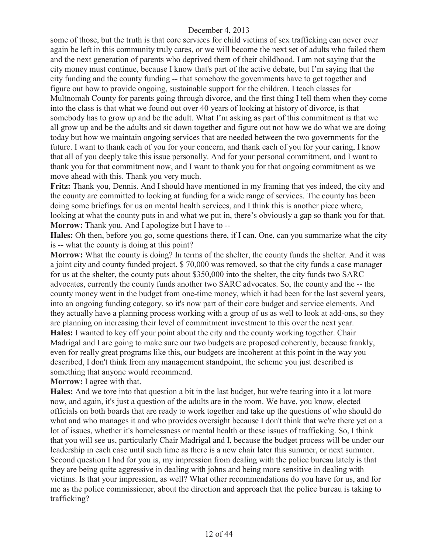some of those, but the truth is that core services for child victims of sex trafficking can never ever again be left in this community truly cares, or we will become the next set of adults who failed them and the next generation of parents who deprived them of their childhood. I am not saying that the city money must continue, because I know that's part of the active debate, but I'm saying that the city funding and the county funding -- that somehow the governments have to get together and figure out how to provide ongoing, sustainable support for the children. I teach classes for Multnomah County for parents going through divorce, and the first thing I tell them when they come into the class is that what we found out over 40 years of looking at history of divorce, is that somebody has to grow up and be the adult. What I'm asking as part of this commitment is that we all grow up and be the adults and sit down together and figure out not how we do what we are doing today but how we maintain ongoing services that are needed between the two governments for the future. I want to thank each of you for your concern, and thank each of you for your caring, I know that all of you deeply take this issue personally. And for your personal commitment, and I want to thank you for that commitment now, and I want to thank you for that ongoing commitment as we move ahead with this. Thank you very much.

**Fritz:** Thank you, Dennis. And I should have mentioned in my framing that yes indeed, the city and the county are committed to looking at funding for a wide range of services. The county has been doing some briefings for us on mental health services, and I think this is another piece where, looking at what the county puts in and what we put in, there's obviously a gap so thank you for that. **Morrow:** Thank you. And I apologize but I have to --

**Hales:** Oh then, before you go, some questions there, if I can. One, can you summarize what the city is -- what the county is doing at this point?

**Morrow:** What the county is doing? In terms of the shelter, the county funds the shelter. And it was a joint city and county funded project. \$ 70,000 was removed, so that the city funds a case manager for us at the shelter, the county puts about \$350,000 into the shelter, the city funds two SARC advocates, currently the county funds another two SARC advocates. So, the county and the -- the county money went in the budget from one-time money, which it had been for the last several years, into an ongoing funding category, so it's now part of their core budget and service elements. And they actually have a planning process working with a group of us as well to look at add-ons, so they are planning on increasing their level of commitment investment to this over the next year. **Hales:** I wanted to key off your point about the city and the county working together. Chair Madrigal and I are going to make sure our two budgets are proposed coherently, because frankly, even for really great programs like this, our budgets are incoherent at this point in the way you described, I don't think from any management standpoint, the scheme you just described is something that anyone would recommend.

**Morrow:** I agree with that.

**Hales:** And we tore into that question a bit in the last budget, but we're tearing into it a lot more now, and again, it's just a question of the adults are in the room. We have, you know, elected officials on both boards that are ready to work together and take up the questions of who should do what and who manages it and who provides oversight because I don't think that we're there yet on a lot of issues, whether it's homelessness or mental health or these issues of trafficking. So, I think that you will see us, particularly Chair Madrigal and I, because the budget process will be under our leadership in each case until such time as there is a new chair later this summer, or next summer. Second question I had for you is, my impression from dealing with the police bureau lately is that they are being quite aggressive in dealing with johns and being more sensitive in dealing with victims. Is that your impression, as well? What other recommendations do you have for us, and for me as the police commissioner, about the direction and approach that the police bureau is taking to trafficking?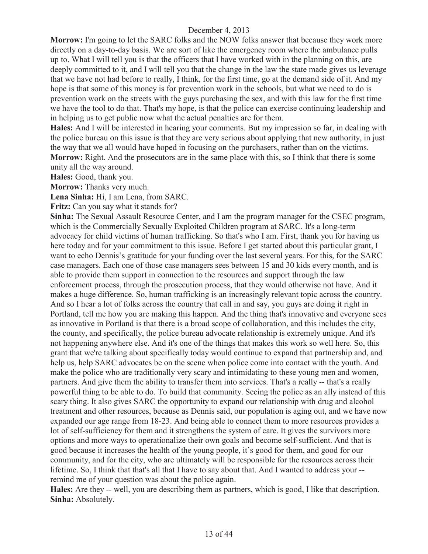**Morrow:** I'm going to let the SARC folks and the NOW folks answer that because they work more directly on a day-to-day basis. We are sort of like the emergency room where the ambulance pulls up to. What I will tell you is that the officers that I have worked with in the planning on this, are deeply committed to it, and I will tell you that the change in the law the state made gives us leverage that we have not had before to really, I think, for the first time, go at the demand side of it. And my hope is that some of this money is for prevention work in the schools, but what we need to do is prevention work on the streets with the guys purchasing the sex, and with this law for the first time we have the tool to do that. That's my hope, is that the police can exercise continuing leadership and in helping us to get public now what the actual penalties are for them.

**Hales:** And I will be interested in hearing your comments. But my impression so far, in dealing with the police bureau on this issue is that they are very serious about applying that new authority, in just the way that we all would have hoped in focusing on the purchasers, rather than on the victims. **Morrow:** Right. And the prosecutors are in the same place with this, so I think that there is some unity all the way around.

**Hales:** Good, thank you.

**Morrow:** Thanks very much.

**Lena Sinha:** Hi, I am Lena, from SARC.

**Fritz:** Can you say what it stands for?

**Sinha:** The Sexual Assault Resource Center, and I am the program manager for the CSEC program, which is the Commercially Sexually Exploited Children program at SARC. It's a long-term advocacy for child victims of human trafficking. So that's who I am. First, thank you for having us here today and for your commitment to this issue. Before I get started about this particular grant, I want to echo Dennis's gratitude for your funding over the last several years. For this, for the SARC case managers. Each one of those case managers sees between 15 and 30 kids every month, and is able to provide them support in connection to the resources and support through the law enforcement process, through the prosecution process, that they would otherwise not have. And it makes a huge difference. So, human trafficking is an increasingly relevant topic across the country. And so I hear a lot of folks across the country that call in and say, you guys are doing it right in Portland, tell me how you are making this happen. And the thing that's innovative and everyone sees as innovative in Portland is that there is a broad scope of collaboration, and this includes the city, the county, and specifically, the police bureau advocate relationship is extremely unique. And it's not happening anywhere else. And it's one of the things that makes this work so well here. So, this grant that we're talking about specifically today would continue to expand that partnership and, and help us, help SARC advocates be on the scene when police come into contact with the youth. And make the police who are traditionally very scary and intimidating to these young men and women, partners. And give them the ability to transfer them into services. That's a really -- that's a really powerful thing to be able to do. To build that community. Seeing the police as an ally instead of this scary thing. It also gives SARC the opportunity to expand our relationship with drug and alcohol treatment and other resources, because as Dennis said, our population is aging out, and we have now expanded our age range from 18-23. And being able to connect them to more resources provides a lot of self-sufficiency for them and it strengthens the system of care. It gives the survivors more options and more ways to operationalize their own goals and become self-sufficient. And that is good because it increases the health of the young people, it's good for them, and good for our community, and for the city, who are ultimately will be responsible for the resources across their lifetime. So, I think that that's all that I have to say about that. And I wanted to address your - remind me of your question was about the police again.

**Hales:** Are they -- well, you are describing them as partners, which is good, I like that description. **Sinha:** Absolutely.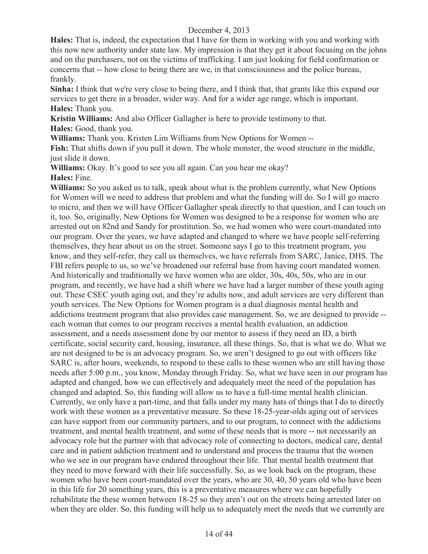**Hales:** That is, indeed, the expectation that I have for them in working with you and working with this now new authority under state law. My impression is that they get it about focusing on the johns and on the purchasers, not on the victims of trafficking. I am just looking for field confirmation or concerns that -- how close to being there are we, in that consciousness and the police bureau, frankly.

**Sinha:** I think that we're very close to being there, and I think that, that grants like this expand our services to get there in a broader, wider way. And for a wider age range, which is important. **Hales:** Thank you.

**Kristin Williams:** And also Officer Gallagher is here to provide testimony to that.

**Hales:** Good, thank you.

**Williams:** Thank you. Kristen Lim Williams from New Options for Women --

**Fish:** That shifts down if you pull it down. The whole monster, the wood structure in the middle, just slide it down.

**Williams:** Okay. It's good to see you all again. Can you hear me okay? **Hales:** Fine.

**Williams:** So you asked us to talk, speak about what is the problem currently, what New Options for Women will we need to address that problem and what the funding will do. So I will go macro to micro, and then we will have Officer Gallagher speak directly to that question, and I can touch on it, too. So, originally, New Options for Women was designed to be a response for women who are arrested out on 82nd and Sandy for prostitution. So, we had women who were court-mandated into our program. Over the years, we have adapted and changed to where we have people self-referring themselves, they hear about us on the street. Someone says I go to this treatment program, you know, and they self-refer, they call us themselves, we have referrals from SARC, Janice, DHS. The FBI refers people to us, so we've broadened our referral base from having court mandated women. And historically and traditionally we have women who are older, 30s, 40s, 50s, who are in our program, and recently, we have had a shift where we have had a larger number of these youth aging out. These CSEC youth aging out, and they're adults now, and adult services are very different than youth services. The New Options for Women program is a dual diagnosis mental health and addictions treatment program that also provides case management. So, we are designed to provide - each woman that comes to our program receives a mental health evaluation, an addiction assessment, and a needs assessment done by our mentor to assess if they need an ID, a birth certificate, social security card, housing, insurance, all these things. So, that is what we do. What we are not designed to be is an advocacy program. So, we aren't designed to go out with officers like SARC is, after hours, weekends, to respond to these calls to these women who are still having those needs after 5:00 p.m., you know, Monday through Friday. So, what we have seen in our program has adapted and changed, how we can effectively and adequately meet the need of the population has changed and adapted. So, this funding will allow us to have a full-time mental health clinician. Currently, we only have a part-time, and that falls under my many hats of things that I do to directly work with these women as a preventative measure. So these 18-25-year-olds aging out of services can have support from our community partners, and to our program, to connect with the addictions treatment, and mental health treatment, and some of these needs that is more -- not necessarily an advocacy role but the partner with that advocacy role of connecting to doctors, medical care, dental care and in patient addiction treatment and to understand and process the trauma that the women who we see in our program have endured throughout their life. That mental health treatment that they need to move forward with their life successfully. So, as we look back on the program, these women who have been court-mandated over the years, who are 30, 40, 50 years old who have been in this life for 20 something years, this is a preventative measures where we can hopefully rehabilitate the these women between 18-25 so they aren't out on the streets being arrested later on when they are older. So, this funding will help us to adequately meet the needs that we currently are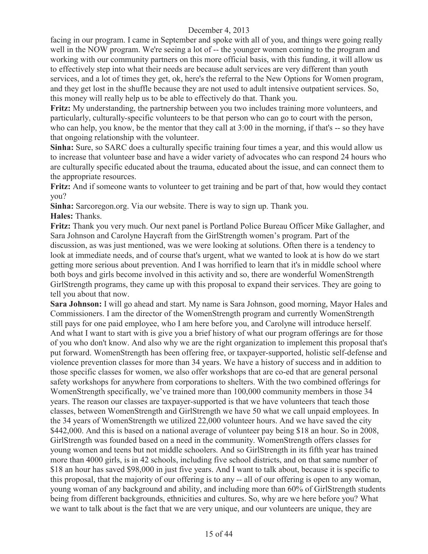facing in our program. I came in September and spoke with all of you, and things were going really well in the NOW program. We're seeing a lot of -- the younger women coming to the program and working with our community partners on this more official basis, with this funding, it will allow us to effectively step into what their needs are because adult services are very different than youth services, and a lot of times they get, ok, here's the referral to the New Options for Women program, and they get lost in the shuffle because they are not used to adult intensive outpatient services. So, this money will really help us to be able to effectively do that. Thank you.

**Fritz:** My understanding, the partnership between you two includes training more volunteers, and particularly, culturally-specific volunteers to be that person who can go to court with the person, who can help, you know, be the mentor that they call at 3:00 in the morning, if that's -- so they have that ongoing relationship with the volunteer.

**Sinha:** Sure, so SARC does a culturally specific training four times a year, and this would allow us to increase that volunteer base and have a wider variety of advocates who can respond 24 hours who are culturally specific educated about the trauma, educated about the issue, and can connect them to the appropriate resources.

**Fritz:** And if someone wants to volunteer to get training and be part of that, how would they contact you?

**Sinha:** Sarcoregon.org. Via our website. There is way to sign up. Thank you.

# **Hales:** Thanks.

**Fritz:** Thank you very much. Our next panel is Portland Police Bureau Officer Mike Gallagher, and Sara Johnson and Carolyne Haycraft from the GirlStrength women's program. Part of the discussion, as was just mentioned, was we were looking at solutions. Often there is a tendency to look at immediate needs, and of course that's urgent, what we wanted to look at is how do we start getting more serious about prevention. And I was horrified to learn that it's in middle school where both boys and girls become involved in this activity and so, there are wonderful WomenStrength GirlStrength programs, they came up with this proposal to expand their services. They are going to tell you about that now.

**Sara Johnson:** I will go ahead and start. My name is Sara Johnson, good morning, Mayor Hales and Commissioners. I am the director of the WomenStrength program and currently WomenStrength still pays for one paid employee, who I am here before you, and Carolyne will introduce herself. And what I want to start with is give you a brief history of what our program offerings are for those of you who don't know. And also why we are the right organization to implement this proposal that's put forward. WomenStrength has been offering free, or taxpayer-supported, holistic self-defense and violence prevention classes for more than 34 years. We have a history of success and in addition to those specific classes for women, we also offer workshops that are co-ed that are general personal safety workshops for anywhere from corporations to shelters. With the two combined offerings for WomenStrength specifically, we've trained more than 100,000 community members in those 34 years. The reason our classes are taxpayer-supported is that we have volunteers that teach those classes, between WomenStrength and GirlStrength we have 50 what we call unpaid employees. In the 34 years of WomenStrength we utilized 22,000 volunteer hours. And we have saved the city \$442,000. And this is based on a national average of volunteer pay being \$18 an hour. So in 2008, GirlStrength was founded based on a need in the community. WomenStrength offers classes for young women and teens but not middle schoolers. And so GirlStrength in its fifth year has trained more than 4000 girls, is in 42 schools, including five school districts, and on that same number of \$18 an hour has saved \$98,000 in just five years. And I want to talk about, because it is specific to this proposal, that the majority of our offering is to any -- all of our offering is open to any woman, young woman of any background and ability, and including more than 60% of GirlStrength students being from different backgrounds, ethnicities and cultures. So, why are we here before you? What we want to talk about is the fact that we are very unique, and our volunteers are unique, they are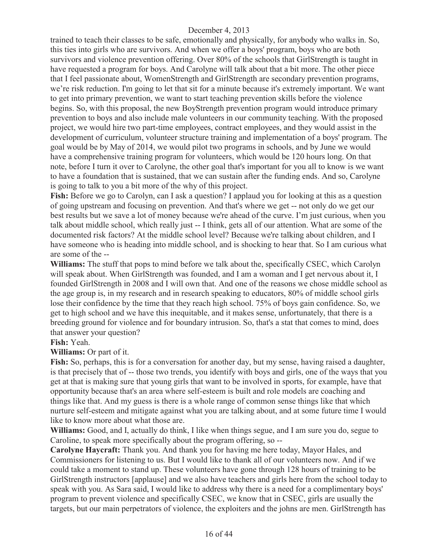trained to teach their classes to be safe, emotionally and physically, for anybody who walks in. So, this ties into girls who are survivors. And when we offer a boys' program, boys who are both survivors and violence prevention offering. Over 80% of the schools that GirlStrength is taught in have requested a program for boys. And Carolyne will talk about that a bit more. The other piece that I feel passionate about, WomenStrength and GirlStrength are secondary prevention programs, we're risk reduction. I'm going to let that sit for a minute because it's extremely important. We want to get into primary prevention, we want to start teaching prevention skills before the violence begins. So, with this proposal, the new BoyStrength prevention program would introduce primary prevention to boys and also include male volunteers in our community teaching. With the proposed project, we would hire two part-time employees, contract employees, and they would assist in the development of curriculum, volunteer structure training and implementation of a boys' program. The goal would be by May of 2014, we would pilot two programs in schools, and by June we would have a comprehensive training program for volunteers, which would be 120 hours long. On that note, before I turn it over to Carolyne, the other goal that's important for you all to know is we want to have a foundation that is sustained, that we can sustain after the funding ends. And so, Carolyne is going to talk to you a bit more of the why of this project.

**Fish:** Before we go to Carolyn, can I ask a question? I applaud you for looking at this as a question of going upstream and focusing on prevention. And that's where we get -- not only do we get our best results but we save a lot of money because we're ahead of the curve. I'm just curious, when you talk about middle school, which really just -- I think, gets all of our attention. What are some of the documented risk factors? At the middle school level? Because we're talking about children, and I have someone who is heading into middle school, and is shocking to hear that. So I am curious what are some of the --

**Williams:** The stuff that pops to mind before we talk about the, specifically CSEC, which Carolyn will speak about. When GirlStrength was founded, and I am a woman and I get nervous about it, I founded GirlStrength in 2008 and I will own that. And one of the reasons we chose middle school as the age group is, in my research and in research speaking to educators, 80% of middle school girls lose their confidence by the time that they reach high school. 75% of boys gain confidence. So, we get to high school and we have this inequitable, and it makes sense, unfortunately, that there is a breeding ground for violence and for boundary intrusion. So, that's a stat that comes to mind, does that answer your question?

#### **Fish:** Yeah.

**Williams:** Or part of it.

**Fish:** So, perhaps, this is for a conversation for another day, but my sense, having raised a daughter, is that precisely that of -- those two trends, you identify with boys and girls, one of the ways that you get at that is making sure that young girls that want to be involved in sports, for example, have that opportunity because that's an area where self-esteem is built and role models are coaching and things like that. And my guess is there is a whole range of common sense things like that which nurture self-esteem and mitigate against what you are talking about, and at some future time I would like to know more about what those are.

**Williams:** Good, and I, actually do think, I like when things segue, and I am sure you do, segue to Caroline, to speak more specifically about the program offering, so --

**Carolyne Haycraft:** Thank you. And thank you for having me here today, Mayor Hales, and Commissioners for listening to us. But I would like to thank all of our volunteers now. And if we could take a moment to stand up. These volunteers have gone through 128 hours of training to be GirlStrength instructors [applause] and we also have teachers and girls here from the school today to speak with you. As Sara said, I would like to address why there is a need for a complimentary boys' program to prevent violence and specifically CSEC, we know that in CSEC, girls are usually the targets, but our main perpetrators of violence, the exploiters and the johns are men. GirlStrength has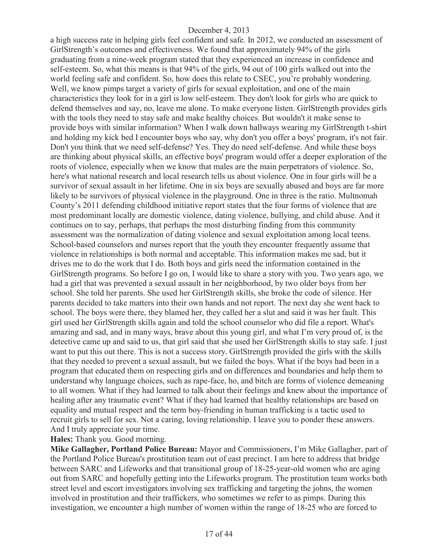a high success rate in helping girls feel confident and safe. In 2012, we conducted an assessment of GirlStrength's outcomes and effectiveness. We found that approximately 94% of the girls graduating from a nine-week program stated that they experienced an increase in confidence and self-esteem. So, what this means is that 94% of the girls, 94 out of 100 girls walked out into the world feeling safe and confident. So, how does this relate to CSEC, you're probably wondering. Well, we know pimps target a variety of girls for sexual exploitation, and one of the main characteristics they look for in a girl is low self-esteem. They don't look for girls who are quick to defend themselves and say, no, leave me alone. To make everyone listen. GirlStrength provides girls with the tools they need to stay safe and make healthy choices. But wouldn't it make sense to provide boys with similar information? When I walk down hallways wearing my GirlStrength t-shirt and holding my kick bed I encounter boys who say, why don't you offer a boys' program, it's not fair. Don't you think that we need self-defense? Yes. They do need self-defense. And while these boys are thinking about physical skills, an effective boys' program would offer a deeper exploration of the roots of violence, especially when we know that males are the main perpetrators of violence. So, here's what national research and local research tells us about violence. One in four girls will be a survivor of sexual assault in her lifetime. One in six boys are sexually abused and boys are far more likely to be survivors of physical violence in the playground. One in three is the ratio. Multnomah County's 2011 defending childhood initiative report states that the four forms of violence that are most predominant locally are domestic violence, dating violence, bullying, and child abuse. And it continues on to say, perhaps, that perhaps the most disturbing finding from this community assessment was the normalization of dating violence and sexual exploitation among local teens. School-based counselors and nurses report that the youth they encounter frequently assume that violence in relationships is both normal and acceptable. This information makes me sad, but it drives me to do the work that I do. Both boys and girls need the information contained in the GirlStrength programs. So before I go on, I would like to share a story with you. Two years ago, we had a girl that was prevented a sexual assault in her neighborhood, by two older boys from her school. She told her parents. She used her GirlStrength skills, she broke the code of silence. Her parents decided to take matters into their own hands and not report. The next day she went back to school. The boys were there, they blamed her, they called her a slut and said it was her fault. This girl used her GirlStrength skills again and told the school counselor who did file a report. What's amazing and sad, and in many ways, brave about this young girl, and what I'm very proud of, is the detective came up and said to us, that girl said that she used her GirlStrength skills to stay safe. I just want to put this out there. This is not a success story. GirlStrength provided the girls with the skills that they needed to prevent a sexual assault, but we failed the boys. What if the boys had been in a program that educated them on respecting girls and on differences and boundaries and help them to understand why language choices, such as rape-face, ho, and bitch are forms of violence demeaning to all women. What if they had learned to talk about their feelings and knew about the importance of healing after any traumatic event? What if they had learned that healthy relationships are based on equality and mutual respect and the term boy-friending in human trafficking is a tactic used to recruit girls to sell for sex. Not a caring, loving relationship. I leave you to ponder these answers. And I truly appreciate your time.

#### **Hales:** Thank you. Good morning.

**Mike Gallagher, Portland Police Bureau:** Mayor and Commissioners, I'm Mike Gallagher, part of the Portland Police Bureau's prostitution team out of east precinct. I am here to address that bridge between SARC and Lifeworks and that transitional group of 18-25-year-old women who are aging out from SARC and hopefully getting into the Lifeworks program. The prostitution team works both street level and escort investigators involving sex trafficking and targeting the johns, the women involved in prostitution and their traffickers, who sometimes we refer to as pimps. During this investigation, we encounter a high number of women within the range of 18-25 who are forced to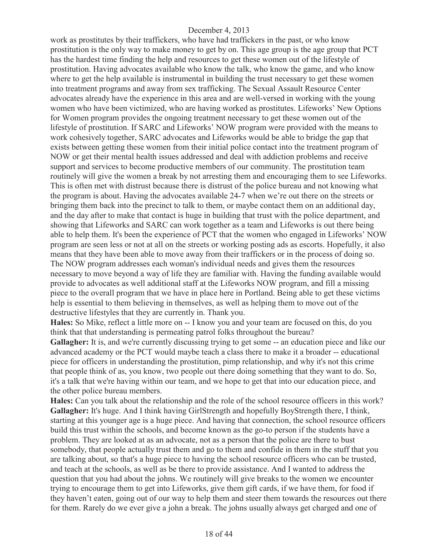work as prostitutes by their traffickers, who have had traffickers in the past, or who know prostitution is the only way to make money to get by on. This age group is the age group that PCT has the hardest time finding the help and resources to get these women out of the lifestyle of prostitution. Having advocates available who know the talk, who know the game, and who know where to get the help available is instrumental in building the trust necessary to get these women into treatment programs and away from sex trafficking. The Sexual Assault Resource Center advocates already have the experience in this area and are well-versed in working with the young women who have been victimized, who are having worked as prostitutes. Lifeworks' New Options for Women program provides the ongoing treatment necessary to get these women out of the lifestyle of prostitution. If SARC and Lifeworks' NOW program were provided with the means to work cohesively together, SARC advocates and Lifeworks would be able to bridge the gap that exists between getting these women from their initial police contact into the treatment program of NOW or get their mental health issues addressed and deal with addiction problems and receive support and services to become productive members of our community. The prostitution team routinely will give the women a break by not arresting them and encouraging them to see Lifeworks. This is often met with distrust because there is distrust of the police bureau and not knowing what the program is about. Having the advocates available 24-7 when we're out there on the streets or bringing them back into the precinct to talk to them, or maybe contact them on an additional day, and the day after to make that contact is huge in building that trust with the police department, and showing that Lifeworks and SARC can work together as a team and Lifeworks is out there being able to help them. It's been the experience of PCT that the women who engaged in Lifeworks' NOW program are seen less or not at all on the streets or working posting ads as escorts. Hopefully, it also means that they have been able to move away from their traffickers or in the process of doing so. The NOW program addresses each woman's individual needs and gives them the resources necessary to move beyond a way of life they are familiar with. Having the funding available would provide to advocates as well additional staff at the Lifeworks NOW program, and fill a missing piece to the overall program that we have in place here in Portland. Being able to get these victims help is essential to them believing in themselves, as well as helping them to move out of the destructive lifestyles that they are currently in. Thank you.

**Hales:** So Mike, reflect a little more on -- I know you and your team are focused on this, do you think that that understanding is permeating patrol folks throughout the bureau?

Gallagher: It is, and we're currently discussing trying to get some -- an education piece and like our advanced academy or the PCT would maybe teach a class there to make it a broader -- educational piece for officers in understanding the prostitution, pimp relationship, and why it's not this crime that people think of as, you know, two people out there doing something that they want to do. So, it's a talk that we're having within our team, and we hope to get that into our education piece, and the other police bureau members.

**Hales:** Can you talk about the relationship and the role of the school resource officers in this work? **Gallagher:** It's huge. And I think having GirlStrength and hopefully BoyStrength there, I think, starting at this younger age is a huge piece. And having that connection, the school resource officers build this trust within the schools, and become known as the go-to person if the students have a problem. They are looked at as an advocate, not as a person that the police are there to bust somebody, that people actually trust them and go to them and confide in them in the stuff that you are talking about, so that's a huge piece to having the school resource officers who can be trusted, and teach at the schools, as well as be there to provide assistance. And I wanted to address the question that you had about the johns. We routinely will give breaks to the women we encounter trying to encourage them to get into Lifeworks, give them gift cards, if we have them, for food if they haven't eaten, going out of our way to help them and steer them towards the resources out there for them. Rarely do we ever give a john a break. The johns usually always get charged and one of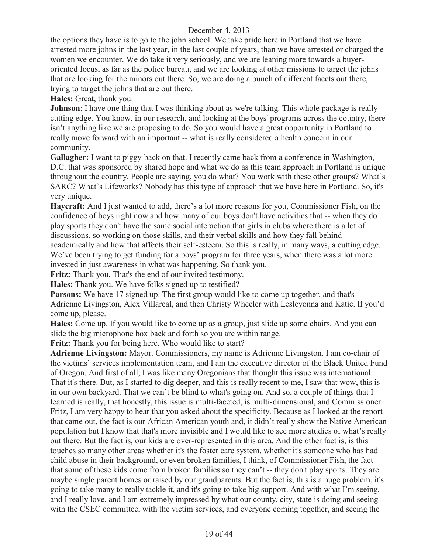the options they have is to go to the john school. We take pride here in Portland that we have arrested more johns in the last year, in the last couple of years, than we have arrested or charged the women we encounter. We do take it very seriously, and we are leaning more towards a buyeroriented focus, as far as the police bureau, and we are looking at other missions to target the johns that are looking for the minors out there. So, we are doing a bunch of different facets out there, trying to target the johns that are out there.

**Hales:** Great, thank you.

**Johnson**: I have one thing that I was thinking about as we're talking. This whole package is really cutting edge. You know, in our research, and looking at the boys' programs across the country, there isn't anything like we are proposing to do. So you would have a great opportunity in Portland to really move forward with an important -- what is really considered a health concern in our community.

**Gallagher:** I want to piggy-back on that. I recently came back from a conference in Washington, D.C. that was sponsored by shared hope and what we do as this team approach in Portland is unique throughout the country. People are saying, you do what? You work with these other groups? What's SARC? What's Lifeworks? Nobody has this type of approach that we have here in Portland. So, it's very unique.

**Haycraft:** And I just wanted to add, there's a lot more reasons for you, Commissioner Fish, on the confidence of boys right now and how many of our boys don't have activities that -- when they do play sports they don't have the same social interaction that girls in clubs where there is a lot of discussions, so working on those skills, and their verbal skills and how they fall behind academically and how that affects their self-esteem. So this is really, in many ways, a cutting edge. We've been trying to get funding for a boys' program for three years, when there was a lot more invested in just awareness in what was happening. So thank you.

**Fritz:** Thank you. That's the end of our invited testimony.

**Hales:** Thank you. We have folks signed up to testified?

**Parsons:** We have 17 signed up. The first group would like to come up together, and that's Adrienne Livingston, Alex Villareal, and then Christy Wheeler with Lesleyonna and Katie. If you'd come up, please.

**Hales:** Come up. If you would like to come up as a group, just slide up some chairs. And you can slide the big microphone box back and forth so you are within range.

**Fritz:** Thank you for being here. Who would like to start?

**Adrienne Livingston:** Mayor. Commissioners, my name is Adrienne Livingston. I am co-chair of the victims' services implementation team, and I am the executive director of the Black United Fund of Oregon. And first of all, I was like many Oregonians that thought this issue was international. That it's there. But, as I started to dig deeper, and this is really recent to me, I saw that wow, this is in our own backyard. That we can't be blind to what's going on. And so, a couple of things that I learned is really, that honestly, this issue is multi-faceted, is multi-dimensional, and Commissioner Fritz, I am very happy to hear that you asked about the specificity. Because as I looked at the report that came out, the fact is our African American youth and, it didn't really show the Native American population but I know that that's more invisible and I would like to see more studies of what's really out there. But the fact is, our kids are over-represented in this area. And the other fact is, is this touches so many other areas whether it's the foster care system, whether it's someone who has had child abuse in their background, or even broken families, I think, of Commissioner Fish, the fact that some of these kids come from broken families so they can't -- they don't play sports. They are maybe single parent homes or raised by our grandparents. But the fact is, this is a huge problem, it's going to take many to really tackle it, and it's going to take big support. And with what I'm seeing, and I really love, and I am extremely impressed by what our county, city, state is doing and seeing with the CSEC committee, with the victim services, and everyone coming together, and seeing the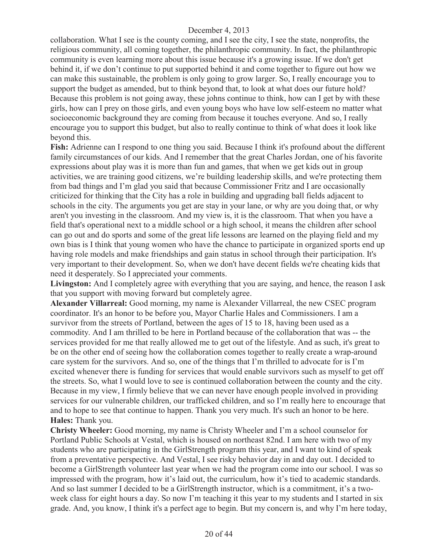collaboration. What I see is the county coming, and I see the city, I see the state, nonprofits, the religious community, all coming together, the philanthropic community. In fact, the philanthropic community is even learning more about this issue because it's a growing issue. If we don't get behind it, if we don't continue to put supported behind it and come together to figure out how we can make this sustainable, the problem is only going to grow larger. So, I really encourage you to support the budget as amended, but to think beyond that, to look at what does our future hold? Because this problem is not going away, these johns continue to think, how can I get by with these girls, how can I prey on those girls, and even young boys who have low self-esteem no matter what socioeconomic background they are coming from because it touches everyone. And so, I really encourage you to support this budget, but also to really continue to think of what does it look like beyond this.

**Fish:** Adrienne can I respond to one thing you said. Because I think it's profound about the different family circumstances of our kids. And I remember that the great Charles Jordan, one of his favorite expressions about play was it is more than fun and games, that when we get kids out in group activities, we are training good citizens, we're building leadership skills, and we're protecting them from bad things and I'm glad you said that because Commissioner Fritz and I are occasionally criticized for thinking that the City has a role in building and upgrading ball fields adjacent to schools in the city. The arguments you get are stay in your lane, or why are you doing that, or why aren't you investing in the classroom. And my view is, it is the classroom. That when you have a field that's operational next to a middle school or a high school, it means the children after school can go out and do sports and some of the great life lessons are learned on the playing field and my own bias is I think that young women who have the chance to participate in organized sports end up having role models and make friendships and gain status in school through their participation. It's very important to their development. So, when we don't have decent fields we're cheating kids that need it desperately. So I appreciated your comments.

Livingston: And I completely agree with everything that you are saying, and hence, the reason I ask that you support with moving forward but completely agree.

**Alexander Villarreal:** Good morning, my name is Alexander Villarreal, the new CSEC program coordinator. It's an honor to be before you, Mayor Charlie Hales and Commissioners. I am a survivor from the streets of Portland, between the ages of 15 to 18, having been used as a commodity. And I am thrilled to be here in Portland because of the collaboration that was -- the services provided for me that really allowed me to get out of the lifestyle. And as such, it's great to be on the other end of seeing how the collaboration comes together to really create a wrap-around care system for the survivors. And so, one of the things that I'm thrilled to advocate for is I'm excited whenever there is funding for services that would enable survivors such as myself to get off the streets. So, what I would love to see is continued collaboration between the county and the city. Because in my view, I firmly believe that we can never have enough people involved in providing services for our vulnerable children, our trafficked children, and so I'm really here to encourage that and to hope to see that continue to happen. Thank you very much. It's such an honor to be here. **Hales:** Thank you.

**Christy Wheeler:** Good morning, my name is Christy Wheeler and I'm a school counselor for Portland Public Schools at Vestal, which is housed on northeast 82nd. I am here with two of my students who are participating in the GirlStrength program this year, and I want to kind of speak from a preventative perspective. And Vestal, I see risky behavior day in and day out. I decided to become a GirlStrength volunteer last year when we had the program come into our school. I was so impressed with the program, how it's laid out, the curriculum, how it's tied to academic standards. And so last summer I decided to be a GirlStrength instructor, which is a commitment, it's a twoweek class for eight hours a day. So now I'm teaching it this year to my students and I started in six grade. And, you know, I think it's a perfect age to begin. But my concern is, and why I'm here today,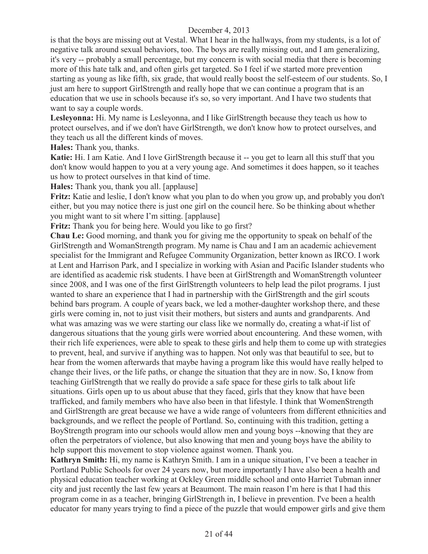is that the boys are missing out at Vestal. What I hear in the hallways, from my students, is a lot of negative talk around sexual behaviors, too. The boys are really missing out, and I am generalizing, it's very -- probably a small percentage, but my concern is with social media that there is becoming more of this hate talk and, and often girls get targeted. So I feel if we started more prevention starting as young as like fifth, six grade, that would really boost the self-esteem of our students. So, I just am here to support GirlStrength and really hope that we can continue a program that is an education that we use in schools because it's so, so very important. And I have two students that want to say a couple words.

**Lesleyonna:** Hi. My name is Lesleyonna, and I like GirlStrength because they teach us how to protect ourselves, and if we don't have GirlStrength, we don't know how to protect ourselves, and they teach us all the different kinds of moves.

**Hales:** Thank you, thanks.

**Katie:** Hi. I am Katie. And I love GirlStrength because it -- you get to learn all this stuff that you don't know would happen to you at a very young age. And sometimes it does happen, so it teaches us how to protect ourselves in that kind of time.

**Hales:** Thank you, thank you all. [applause]

**Fritz:** Katie and leslie, I don't know what you plan to do when you grow up, and probably you don't either, but you may notice there is just one girl on the council here. So be thinking about whether you might want to sit where I'm sitting. [applause]

**Fritz:** Thank you for being here. Would you like to go first?

**Chau Le:** Good morning, and thank you for giving me the opportunity to speak on behalf of the GirlStrength and WomanStrength program. My name is Chau and I am an academic achievement specialist for the Immigrant and Refugee Community Organization, better known as IRCO. I work at Lent and Harrison Park, and I specialize in working with Asian and Pacific Islander students who are identified as academic risk students. I have been at GirlStrength and WomanStrength volunteer since 2008, and I was one of the first GirlStrength volunteers to help lead the pilot programs. I just wanted to share an experience that I had in partnership with the GirlStrength and the girl scouts behind bars program. A couple of years back, we led a mother-daughter workshop there, and these girls were coming in, not to just visit their mothers, but sisters and aunts and grandparents. And what was amazing was we were starting our class like we normally do, creating a what-if list of dangerous situations that the young girls were worried about encountering. And these women, with their rich life experiences, were able to speak to these girls and help them to come up with strategies to prevent, heal, and survive if anything was to happen. Not only was that beautiful to see, but to hear from the women afterwards that maybe having a program like this would have really helped to change their lives, or the life paths, or change the situation that they are in now. So, I know from teaching GirlStrength that we really do provide a safe space for these girls to talk about life situations. Girls open up to us about abuse that they faced, girls that they know that have been trafficked, and family members who have also been in that lifestyle. I think that WomenStrength and GirlStrength are great because we have a wide range of volunteers from different ethnicities and backgrounds, and we reflect the people of Portland. So, continuing with this tradition, getting a BoyStrength program into our schools would allow men and young boys --knowing that they are often the perpetrators of violence, but also knowing that men and young boys have the ability to help support this movement to stop violence against women. Thank you.

**Kathryn Smith:** Hi, my name is Kathryn Smith. I am in a unique situation, I've been a teacher in Portland Public Schools for over 24 years now, but more importantly I have also been a health and physical education teacher working at Ockley Green middle school and onto Harriet Tubman inner city and just recently the last few years at Beaumont. The main reason I'm here is that I had this program come in as a teacher, bringing GirlStrength in, I believe in prevention. I've been a health educator for many years trying to find a piece of the puzzle that would empower girls and give them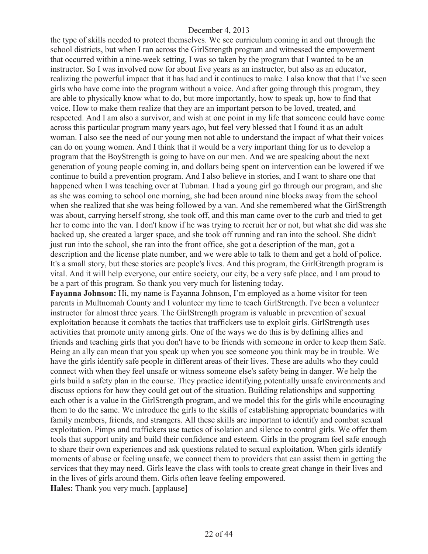the type of skills needed to protect themselves. We see curriculum coming in and out through the school districts, but when I ran across the GirlStrength program and witnessed the empowerment that occurred within a nine-week setting, I was so taken by the program that I wanted to be an instructor. So I was involved now for about five years as an instructor, but also as an educator, realizing the powerful impact that it has had and it continues to make. I also know that that I've seen girls who have come into the program without a voice. And after going through this program, they are able to physically know what to do, but more importantly, how to speak up, how to find that voice. How to make them realize that they are an important person to be loved, treated, and respected. And I am also a survivor, and wish at one point in my life that someone could have come across this particular program many years ago, but feel very blessed that I found it as an adult woman. I also see the need of our young men not able to understand the impact of what their voices can do on young women. And I think that it would be a very important thing for us to develop a program that the BoyStrength is going to have on our men. And we are speaking about the next generation of young people coming in, and dollars being spent on intervention can be lowered if we continue to build a prevention program. And I also believe in stories, and I want to share one that happened when I was teaching over at Tubman. I had a young girl go through our program, and she as she was coming to school one morning, she had been around nine blocks away from the school when she realized that she was being followed by a van. And she remembered what the GirlStrength was about, carrying herself strong, she took off, and this man came over to the curb and tried to get her to come into the van. I don't know if he was trying to recruit her or not, but what she did was she backed up, she created a larger space, and she took off running and ran into the school. She didn't just run into the school, she ran into the front office, she got a description of the man, got a description and the license plate number, and we were able to talk to them and get a hold of police. It's a small story, but these stories are people's lives. And this program, the GirlGtrength program is vital. And it will help everyone, our entire society, our city, be a very safe place, and I am proud to be a part of this program. So thank you very much for listening today.

**Fayanna Johnson:** Hi, my name is Fayanna Johnson, I'm employed as a home visitor for teen parents in Multnomah County and I volunteer my time to teach GirlStrength. I've been a volunteer instructor for almost three years. The GirlStrength program is valuable in prevention of sexual exploitation because it combats the tactics that traffickers use to exploit girls. GirlStrength uses activities that promote unity among girls. One of the ways we do this is by defining allies and friends and teaching girls that you don't have to be friends with someone in order to keep them Safe. Being an ally can mean that you speak up when you see someone you think may be in trouble. We have the girls identify safe people in different areas of their lives. These are adults who they could connect with when they feel unsafe or witness someone else's safety being in danger. We help the girls build a safety plan in the course. They practice identifying potentially unsafe environments and discuss options for how they could get out of the situation. Building relationships and supporting each other is a value in the GirlStrength program, and we model this for the girls while encouraging them to do the same. We introduce the girls to the skills of establishing appropriate boundaries with family members, friends, and strangers. All these skills are important to identify and combat sexual exploitation. Pimps and traffickers use tactics of isolation and silence to control girls. We offer them tools that support unity and build their confidence and esteem. Girls in the program feel safe enough to share their own experiences and ask questions related to sexual exploitation. When girls identify moments of abuse or feeling unsafe, we connect them to providers that can assist them in getting the services that they may need. Girls leave the class with tools to create great change in their lives and in the lives of girls around them. Girls often leave feeling empowered. **Hales:** Thank you very much. [applause]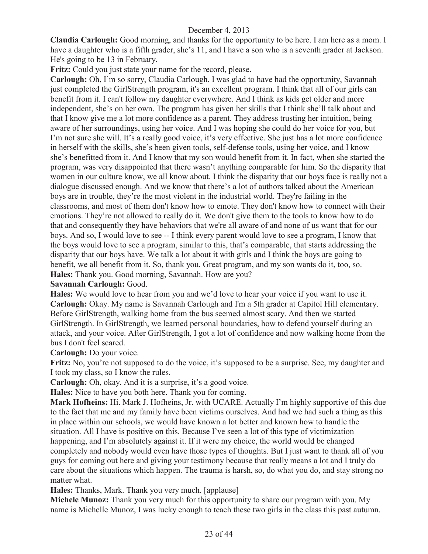**Claudia Carlough:** Good morning, and thanks for the opportunity to be here. I am here as a mom. I have a daughter who is a fifth grader, she's 11, and I have a son who is a seventh grader at Jackson. He's going to be 13 in February.

**Fritz:** Could you just state your name for the record, please.

**Carlough:** Oh, I'm so sorry, Claudia Carlough. I was glad to have had the opportunity, Savannah just completed the GirlStrength program, it's an excellent program. I think that all of our girls can benefit from it. I can't follow my daughter everywhere. And I think as kids get older and more independent, she's on her own. The program has given her skills that I think she'll talk about and that I know give me a lot more confidence as a parent. They address trusting her intuition, being aware of her surroundings, using her voice. And I was hoping she could do her voice for you, but I'm not sure she will. It's a really good voice, it's very effective. She just has a lot more confidence in herself with the skills, she's been given tools, self-defense tools, using her voice, and I know she's benefitted from it. And I know that my son would benefit from it. In fact, when she started the program, was very disappointed that there wasn't anything comparable for him. So the disparity that women in our culture know, we all know about. I think the disparity that our boys face is really not a dialogue discussed enough. And we know that there's a lot of authors talked about the American boys are in trouble, they're the most violent in the industrial world. They're failing in the classrooms, and most of them don't know how to emote. They don't know how to connect with their emotions. They're not allowed to really do it. We don't give them to the tools to know how to do that and consequently they have behaviors that we're all aware of and none of us want that for our boys. And so, I would love to see -- I think every parent would love to see a program, I know that the boys would love to see a program, similar to this, that's comparable, that starts addressing the disparity that our boys have. We talk a lot about it with girls and I think the boys are going to benefit, we all benefit from it. So, thank you. Great program, and my son wants do it, too, so. **Hales:** Thank you. Good morning, Savannah. How are you?

# **Savannah Carlough:** Good.

**Hales:** We would love to hear from you and we'd love to hear your voice if you want to use it. **Carlough:** Okay. My name is Savannah Carlough and I'm a 5th grader at Capitol Hill elementary. Before GirlStrength, walking home from the bus seemed almost scary. And then we started GirlStrength. In GirlStrength, we learned personal boundaries, how to defend yourself during an attack, and your voice. After GirlStrength, I got a lot of confidence and now walking home from the bus I don't feel scared.

**Carlough:** Do your voice.

**Fritz:** No, you're not supposed to do the voice, it's supposed to be a surprise. See, my daughter and I took my class, so I know the rules.

Carlough: Oh, okay. And it is a surprise, it's a good voice.

**Hales:** Nice to have you both here. Thank you for coming.

**Mark Hofheins:** Hi. Mark J. Hofheins, Jr. with UCARE. Actually I'm highly supportive of this due to the fact that me and my family have been victims ourselves. And had we had such a thing as this in place within our schools, we would have known a lot better and known how to handle the situation. All I have is positive on this. Because I've seen a lot of this type of victimization happening, and I'm absolutely against it. If it were my choice, the world would be changed completely and nobody would even have those types of thoughts. But I just want to thank all of you guys for coming out here and giving your testimony because that really means a lot and I truly do care about the situations which happen. The trauma is harsh, so, do what you do, and stay strong no matter what.

**Hales:** Thanks, Mark. Thank you very much. [applause]

**Michele Munoz:** Thank you very much for this opportunity to share our program with you. My name is Michelle Munoz, I was lucky enough to teach these two girls in the class this past autumn.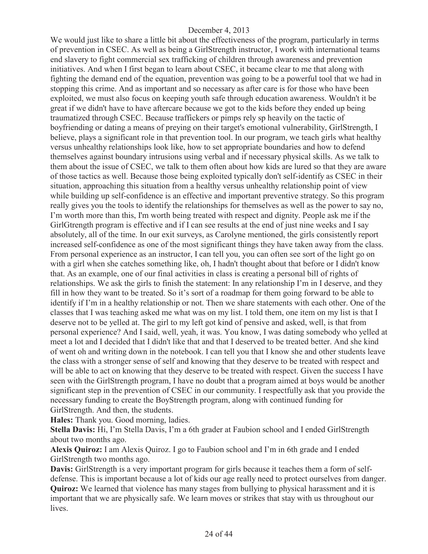We would just like to share a little bit about the effectiveness of the program, particularly in terms of prevention in CSEC. As well as being a GirlStrength instructor, I work with international teams end slavery to fight commercial sex trafficking of children through awareness and prevention initiatives. And when I first began to learn about CSEC, it became clear to me that along with fighting the demand end of the equation, prevention was going to be a powerful tool that we had in stopping this crime. And as important and so necessary as after care is for those who have been exploited, we must also focus on keeping youth safe through education awareness. Wouldn't it be great if we didn't have to have aftercare because we got to the kids before they ended up being traumatized through CSEC. Because traffickers or pimps rely sp heavily on the tactic of boyfriending or dating a means of preying on their target's emotional vulnerability, GirlStrength, I believe, plays a significant role in that prevention tool. In our program, we teach girls what healthy versus unhealthy relationships look like, how to set appropriate boundaries and how to defend themselves against boundary intrusions using verbal and if necessary physical skills. As we talk to them about the issue of CSEC, we talk to them often about how kids are lured so that they are aware of those tactics as well. Because those being exploited typically don't self-identify as CSEC in their situation, approaching this situation from a healthy versus unhealthy relationship point of view while building up self-confidence is an effective and important preventive strategy. So this program really gives you the tools to identify the relationships for themselves as well as the power to say no, I'm worth more than this, I'm worth being treated with respect and dignity. People ask me if the GirlGtrength program is effective and if I can see results at the end of just nine weeks and I say absolutely, all of the time. In our exit surveys, as Carolyne mentioned, the girls consistently report increased self-confidence as one of the most significant things they have taken away from the class. From personal experience as an instructor, I can tell you, you can often see sort of the light go on with a girl when she catches something like, oh, I hadn't thought about that before or I didn't know that. As an example, one of our final activities in class is creating a personal bill of rights of relationships. We ask the girls to finish the statement: In any relationship I'm in I deserve, and they fill in how they want to be treated. So it's sort of a roadmap for them going forward to be able to identify if I'm in a healthy relationship or not. Then we share statements with each other. One of the classes that I was teaching asked me what was on my list. I told them, one item on my list is that I deserve not to be yelled at. The girl to my left got kind of pensive and asked, well, is that from personal experience? And I said, well, yeah, it was. You know, I was dating somebody who yelled at meet a lot and I decided that I didn't like that and that I deserved to be treated better. And she kind of went oh and writing down in the notebook. I can tell you that I know she and other students leave the class with a stronger sense of self and knowing that they deserve to be treated with respect and will be able to act on knowing that they deserve to be treated with respect. Given the success I have seen with the GirlStrength program, I have no doubt that a program aimed at boys would be another significant step in the prevention of CSEC in our community. I respectfully ask that you provide the necessary funding to create the BoyStrength program, along with continued funding for GirlStrength. And then, the students.

**Hales:** Thank you. Good morning, ladies.

**Stella Davis:** Hi, I'm Stella Davis, I'm a 6th grader at Faubion school and I ended GirlStrength about two months ago.

**Alexis Quiroz:** I am Alexis Quiroz. I go to Faubion school and I'm in 6th grade and I ended GirlStrength two months ago.

**Davis:** GirlStrength is a very important program for girls because it teaches them a form of selfdefense. This is important because a lot of kids our age really need to protect ourselves from danger. **Quiroz:** We learned that violence has many stages from bullying to physical harassment and it is important that we are physically safe. We learn moves or strikes that stay with us throughout our lives.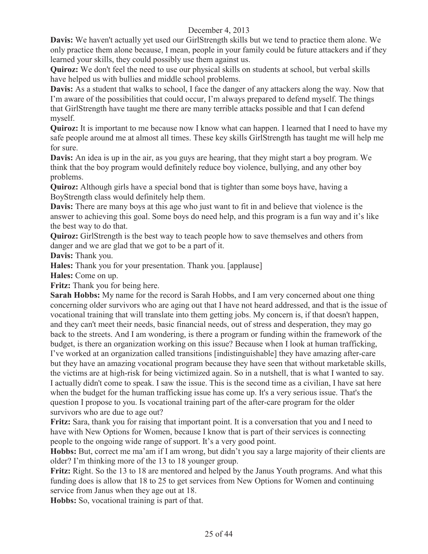**Davis:** We haven't actually yet used our GirlStrength skills but we tend to practice them alone. We only practice them alone because, I mean, people in your family could be future attackers and if they learned your skills, they could possibly use them against us.

**Quiroz:** We don't feel the need to use our physical skills on students at school, but verbal skills have helped us with bullies and middle school problems.

**Davis:** As a student that walks to school, I face the danger of any attackers along the way. Now that I'm aware of the possibilities that could occur, I'm always prepared to defend myself. The things that GirlStrength have taught me there are many terrible attacks possible and that I can defend myself.

**Quiroz:** It is important to me because now I know what can happen. I learned that I need to have my safe people around me at almost all times. These key skills GirlStrength has taught me will help me for sure.

**Davis:** An idea is up in the air, as you guys are hearing, that they might start a boy program. We think that the boy program would definitely reduce boy violence, bullying, and any other boy problems.

**Quiroz:** Although girls have a special bond that is tighter than some boys have, having a BoyStrength class would definitely help them.

**Davis:** There are many boys at this age who just want to fit in and believe that violence is the answer to achieving this goal. Some boys do need help, and this program is a fun way and it's like the best way to do that.

**Quiroz:** GirlStrength is the best way to teach people how to save themselves and others from danger and we are glad that we got to be a part of it.

**Davis:** Thank you.

**Hales:** Thank you for your presentation. Thank you. [applause]

**Hales:** Come on up.

**Fritz:** Thank you for being here.

**Sarah Hobbs:** My name for the record is Sarah Hobbs, and I am very concerned about one thing concerning older survivors who are aging out that I have not heard addressed, and that is the issue of vocational training that will translate into them getting jobs. My concern is, if that doesn't happen, and they can't meet their needs, basic financial needs, out of stress and desperation, they may go back to the streets. And I am wondering, is there a program or funding within the framework of the budget, is there an organization working on this issue? Because when I look at human trafficking, I've worked at an organization called transitions [indistinguishable] they have amazing after-care but they have an amazing vocational program because they have seen that without marketable skills, the victims are at high-risk for being victimized again. So in a nutshell, that is what I wanted to say. I actually didn't come to speak. I saw the issue. This is the second time as a civilian, I have sat here when the budget for the human trafficking issue has come up. It's a very serious issue. That's the question I propose to you. Is vocational training part of the after-care program for the older survivors who are due to age out?

**Fritz:** Sara, thank you for raising that important point. It is a conversation that you and I need to have with New Options for Women, because I know that is part of their services is connecting people to the ongoing wide range of support. It's a very good point.

**Hobbs:** But, correct me ma'am if I am wrong, but didn't you say a large majority of their clients are older? I'm thinking more of the 13 to 18 younger group.

**Fritz:** Right. So the 13 to 18 are mentored and helped by the Janus Youth programs. And what this funding does is allow that 18 to 25 to get services from New Options for Women and continuing service from Janus when they age out at 18.

**Hobbs:** So, vocational training is part of that.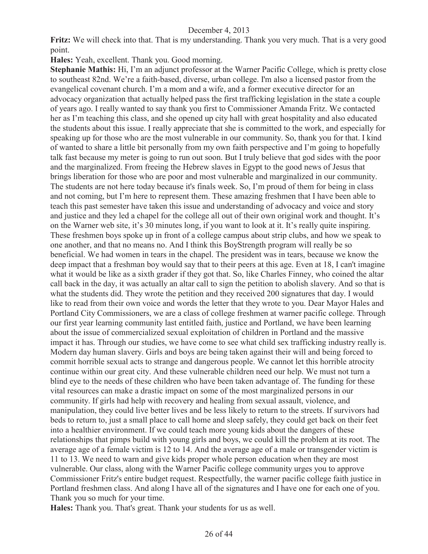**Fritz:** We will check into that. That is my understanding. Thank you very much. That is a very good point.

**Hales:** Yeah, excellent. Thank you. Good morning.

**Stephanie Mathis:** Hi, I'm an adjunct professor at the Warner Pacific College, which is pretty close to southeast 82nd. We're a faith-based, diverse, urban college. I'm also a licensed pastor from the evangelical covenant church. I'm a mom and a wife, and a former executive director for an advocacy organization that actually helped pass the first trafficking legislation in the state a couple of years ago. I really wanted to say thank you first to Commissioner Amanda Fritz. We contacted her as I'm teaching this class, and she opened up city hall with great hospitality and also educated the students about this issue. I really appreciate that she is committed to the work, and especially for speaking up for those who are the most vulnerable in our community. So, thank you for that. I kind of wanted to share a little bit personally from my own faith perspective and I'm going to hopefully talk fast because my meter is going to run out soon. But I truly believe that god sides with the poor and the marginalized. From freeing the Hebrew slaves in Egypt to the good news of Jesus that brings liberation for those who are poor and most vulnerable and marginalized in our community. The students are not here today because it's finals week. So, I'm proud of them for being in class and not coming, but I'm here to represent them. These amazing freshmen that I have been able to teach this past semester have taken this issue and understanding of advocacy and voice and story and justice and they led a chapel for the college all out of their own original work and thought. It's on the Warner web site, it's 30 minutes long, if you want to look at it. It's really quite inspiring. These freshmen boys spoke up in front of a college campus about strip clubs, and how we speak to one another, and that no means no. And I think this BoyStrength program will really be so beneficial. We had women in tears in the chapel. The president was in tears, because we know the deep impact that a freshman boy would say that to their peers at this age. Even at 18, I can't imagine what it would be like as a sixth grader if they got that. So, like Charles Finney, who coined the altar call back in the day, it was actually an altar call to sign the petition to abolish slavery. And so that is what the students did. They wrote the petition and they received 200 signatures that day. I would like to read from their own voice and words the letter that they wrote to you. Dear Mayor Hales and Portland City Commissioners, we are a class of college freshmen at warner pacific college. Through our first year learning community last entitled faith, justice and Portland, we have been learning about the issue of commercialized sexual exploitation of children in Portland and the massive impact it has. Through our studies, we have come to see what child sex trafficking industry really is. Modern day human slavery. Girls and boys are being taken against their will and being forced to commit horrible sexual acts to strange and dangerous people. We cannot let this horrible atrocity continue within our great city. And these vulnerable children need our help. We must not turn a blind eye to the needs of these children who have been taken advantage of. The funding for these vital resources can make a drastic impact on some of the most marginalized persons in our community. If girls had help with recovery and healing from sexual assault, violence, and manipulation, they could live better lives and be less likely to return to the streets. If survivors had beds to return to, just a small place to call home and sleep safely, they could get back on their feet into a healthier environment. If we could teach more young kids about the dangers of these relationships that pimps build with young girls and boys, we could kill the problem at its root. The average age of a female victim is 12 to 14. And the average age of a male or transgender victim is 11 to 13. We need to warn and give kids proper whole person education when they are most vulnerable. Our class, along with the Warner Pacific college community urges you to approve Commissioner Fritz's entire budget request. Respectfully, the warner pacific college faith justice in Portland freshmen class. And along I have all of the signatures and I have one for each one of you. Thank you so much for your time.

**Hales:** Thank you. That's great. Thank your students for us as well.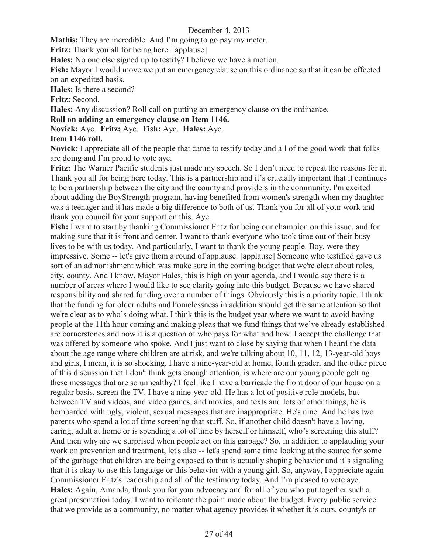**Mathis:** They are incredible. And I'm going to go pay my meter.

**Fritz:** Thank you all for being here. [applause]

**Hales:** No one else signed up to testify? I believe we have a motion.

**Fish:** Mayor I would move we put an emergency clause on this ordinance so that it can be effected on an expedited basis.

**Hales:** Is there a second?

**Fritz:** Second.

**Hales:** Any discussion? Roll call on putting an emergency clause on the ordinance.

#### **Roll on adding an emergency clause on Item 1146.**

**Novick:** Aye. **Fritz:** Aye. **Fish:** Aye. **Hales:** Aye.

#### **Item 1146 roll.**

**Novick:** I appreciate all of the people that came to testify today and all of the good work that folks are doing and I'm proud to vote aye.

**Fritz:** The Warner Pacific students just made my speech. So I don't need to repeat the reasons for it. Thank you all for being here today. This is a partnership and it's crucially important that it continues to be a partnership between the city and the county and providers in the community. I'm excited about adding the BoyStrength program, having benefited from women's strength when my daughter was a teenager and it has made a big difference to both of us. Thank you for all of your work and thank you council for your support on this. Aye.

**Fish:** I want to start by thanking Commissioner Fritz for being our champion on this issue, and for making sure that it is front and center. I want to thank everyone who took time out of their busy lives to be with us today. And particularly, I want to thank the young people. Boy, were they impressive. Some -- let's give them a round of applause. [applause] Someone who testified gave us sort of an admonishment which was make sure in the coming budget that we're clear about roles, city, county. And I know, Mayor Hales, this is high on your agenda, and I would say there is a number of areas where I would like to see clarity going into this budget. Because we have shared responsibility and shared funding over a number of things. Obviously this is a priority topic. I think that the funding for older adults and homelessness in addition should get the same attention so that we're clear as to who's doing what. I think this is the budget year where we want to avoid having people at the 11th hour coming and making pleas that we fund things that we've already established are cornerstones and now it is a question of who pays for what and how. I accept the challenge that was offered by someone who spoke. And I just want to close by saying that when I heard the data about the age range where children are at risk, and we're talking about 10, 11, 12, 13-year-old boys and girls, I mean, it is so shocking. I have a nine-year-old at home, fourth grader, and the other piece of this discussion that I don't think gets enough attention, is where are our young people getting these messages that are so unhealthy? I feel like I have a barricade the front door of our house on a regular basis, screen the TV. I have a nine-year-old. He has a lot of positive role models, but between TV and videos, and video games, and movies, and texts and lots of other things, he is bombarded with ugly, violent, sexual messages that are inappropriate. He's nine. And he has two parents who spend a lot of time screening that stuff. So, if another child doesn't have a loving, caring, adult at home or is spending a lot of time by herself or himself, who's screening this stuff? And then why are we surprised when people act on this garbage? So, in addition to applauding your work on prevention and treatment, let's also -- let's spend some time looking at the source for some of the garbage that children are being exposed to that is actually shaping behavior and it's signaling that it is okay to use this language or this behavior with a young girl. So, anyway, I appreciate again Commissioner Fritz's leadership and all of the testimony today. And I'm pleased to vote aye. **Hales:** Again, Amanda, thank you for your advocacy and for all of you who put together such a great presentation today. I want to reiterate the point made about the budget. Every public service that we provide as a community, no matter what agency provides it whether it is ours, county's or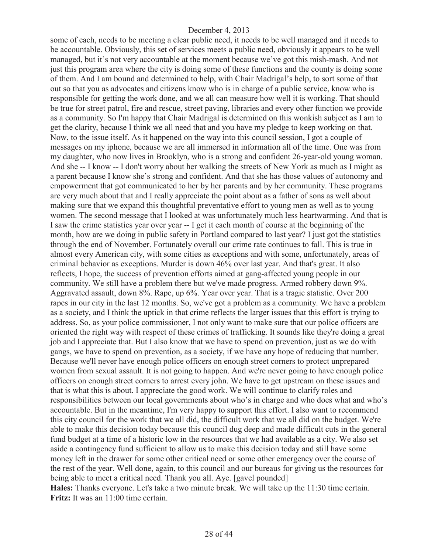some of each, needs to be meeting a clear public need, it needs to be well managed and it needs to be accountable. Obviously, this set of services meets a public need, obviously it appears to be well managed, but it's not very accountable at the moment because we've got this mish-mash. And not just this program area where the city is doing some of these functions and the county is doing some of them. And I am bound and determined to help, with Chair Madrigal's help, to sort some of that out so that you as advocates and citizens know who is in charge of a public service, know who is responsible for getting the work done, and we all can measure how well it is working. That should be true for street patrol, fire and rescue, street paving, libraries and every other function we provide as a community. So I'm happy that Chair Madrigal is determined on this wonkish subject as I am to get the clarity, because I think we all need that and you have my pledge to keep working on that. Now, to the issue itself. As it happened on the way into this council session, I got a couple of messages on my iphone, because we are all immersed in information all of the time. One was from my daughter, who now lives in Brooklyn, who is a strong and confident 26-year-old young woman. And she -- I know -- I don't worry about her walking the streets of New York as much as I might as a parent because I know she's strong and confident. And that she has those values of autonomy and empowerment that got communicated to her by her parents and by her community. These programs are very much about that and I really appreciate the point about as a father of sons as well about making sure that we expand this thoughtful preventative effort to young men as well as to young women. The second message that I looked at was unfortunately much less heartwarming. And that is I saw the crime statistics year over year -- I get it each month of course at the beginning of the month, how are we doing in public safety in Portland compared to last year? I just got the statistics through the end of November. Fortunately overall our crime rate continues to fall. This is true in almost every American city, with some cities as exceptions and with some, unfortunately, areas of criminal behavior as exceptions. Murder is down 46% over last year. And that's great. It also reflects, I hope, the success of prevention efforts aimed at gang-affected young people in our community. We still have a problem there but we've made progress. Armed robbery down 9%. Aggravated assault, down 8%. Rape, up 6%. Year over year. That is a tragic statistic. Over 200 rapes in our city in the last 12 months. So, we've got a problem as a community. We have a problem as a society, and I think the uptick in that crime reflects the larger issues that this effort is trying to address. So, as your police commissioner, I not only want to make sure that our police officers are oriented the right way with respect of these crimes of trafficking. It sounds like they're doing a great job and I appreciate that. But I also know that we have to spend on prevention, just as we do with gangs, we have to spend on prevention, as a society, if we have any hope of reducing that number. Because we'll never have enough police officers on enough street corners to protect unprepared women from sexual assault. It is not going to happen. And we're never going to have enough police officers on enough street corners to arrest every john. We have to get upstream on these issues and that is what this is about. I appreciate the good work. We will continue to clarify roles and responsibilities between our local governments about who's in charge and who does what and who's accountable. But in the meantime, I'm very happy to support this effort. I also want to recommend this city council for the work that we all did, the difficult work that we all did on the budget. We're able to make this decision today because this council dug deep and made difficult cuts in the general fund budget at a time of a historic low in the resources that we had available as a city. We also set aside a contingency fund sufficient to allow us to make this decision today and still have some money left in the drawer for some other critical need or some other emergency over the course of the rest of the year. Well done, again, to this council and our bureaus for giving us the resources for being able to meet a critical need. Thank you all. Aye. [gavel pounded] **Hales:** Thanks everyone. Let's take a two minute break. We will take up the 11:30 time certain. **Fritz:** It was an 11:00 time certain.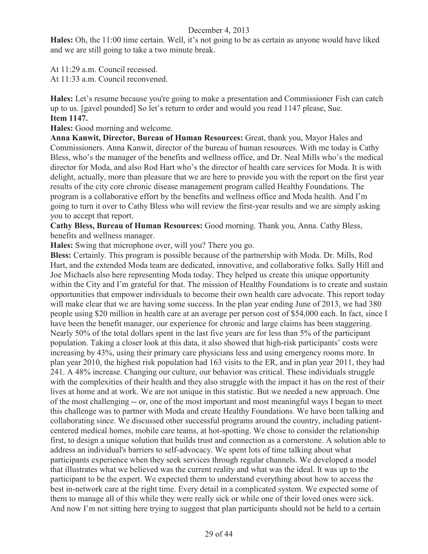**Hales:** Oh, the 11:00 time certain. Well, it's not going to be as certain as anyone would have liked and we are still going to take a two minute break.

At 11:29 a.m. Council recessed.

At  $11:33$  a.m. Council reconvened.

**Hales:** Let's resume because you're going to make a presentation and Commissioner Fish can catch up to us. [gavel pounded] So let's return to order and would you read 1147 please, Sue. **Item 1147.**

**Hales:** Good morning and welcome.

**Anna Kanwit, Director, Bureau of Human Resources:** Great, thank you, Mayor Hales and Commissioners. Anna Kanwit, director of the bureau of human resources. With me today is Cathy Bless, who's the manager of the benefits and wellness office, and Dr. Neal Mills who's the medical director for Moda, and also Rod Hart who's the director of health care services for Moda. It is with delight, actually, more than pleasure that we are here to provide you with the report on the first year results of the city core chronic disease management program called Healthy Foundations. The program is a collaborative effort by the benefits and wellness office and Moda health. And I'm going to turn it over to Cathy Bless who will review the first-year results and we are simply asking you to accept that report.

**Cathy Bless, Bureau of Human Resources:** Good morning. Thank you, Anna. Cathy Bless, benefits and wellness manager.

**Hales:** Swing that microphone over, will you? There you go.

**Bless:** Certainly. This program is possible because of the partnership with Moda. Dr. Mills, Rod Hart, and the extended Moda team are dedicated, innovative, and collaborative folks. Sally Hill and Joe Michaels also here representing Moda today. They helped us create this unique opportunity within the City and I'm grateful for that. The mission of Healthy Foundations is to create and sustain opportunities that empower individuals to become their own health care advocate. This report today will make clear that we are having some success. In the plan year ending June of 2013, we had 380 people using \$20 million in health care at an average per person cost of \$54,000 each. In fact, since I have been the benefit manager, our experience for chronic and large claims has been staggering. Nearly 50% of the total dollars spent in the last five years are for less than 5% of the participant population. Taking a closer look at this data, it also showed that high-risk participants' costs were increasing by 43%, using their primary care physicians less and using emergency rooms more. In plan year 2010, the highest risk population had 163 visits to the ER, and in plan year 2011, they had 241. A 48% increase. Changing our culture, our behavior was critical. These individuals struggle with the complexities of their health and they also struggle with the impact it has on the rest of their lives at home and at work. We are not unique in this statistic. But we needed a new approach. One of the most challenging -- or, one of the most important and most meaningful ways I began to meet this challenge was to partner with Moda and create Healthy Foundations. We have been talking and collaborating since. We discussed other successful programs around the country, including patientcentered medical homes, mobile care teams, at hot-spotting. We chose to consider the relationship first, to design a unique solution that builds trust and connection as a cornerstone. A solution able to address an individual's barriers to self-advocacy. We spent lots of time talking about what participants experience when they seek services through regular channels. We developed a model that illustrates what we believed was the current reality and what was the ideal. It was up to the participant to be the expert. We expected them to understand everything about how to access the best in-network care at the right time. Every detail in a complicated system. We expected some of them to manage all of this while they were really sick or while one of their loved ones were sick. And now I'm not sitting here trying to suggest that plan participants should not be held to a certain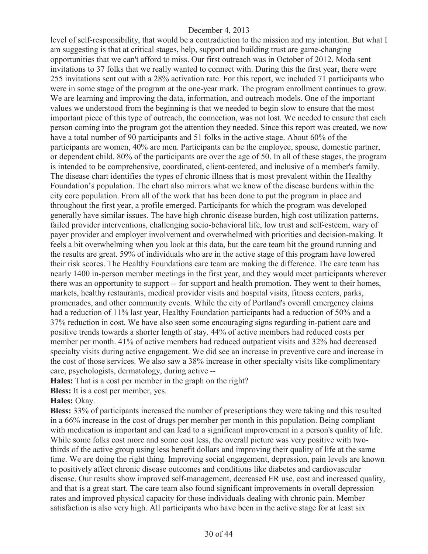level of self-responsibility, that would be a contradiction to the mission and my intention. But what I am suggesting is that at critical stages, help, support and building trust are game-changing opportunities that we can't afford to miss. Our first outreach was in October of 2012. Moda sent invitations to 37 folks that we really wanted to connect with. During this the first year, there were 255 invitations sent out with a 28% activation rate. For this report, we included 71 participants who were in some stage of the program at the one-year mark. The program enrollment continues to grow. We are learning and improving the data, information, and outreach models. One of the important values we understood from the beginning is that we needed to begin slow to ensure that the most important piece of this type of outreach, the connection, was not lost. We needed to ensure that each person coming into the program got the attention they needed. Since this report was created, we now have a total number of 90 participants and 51 folks in the active stage. About 60% of the participants are women, 40% are men. Participants can be the employee, spouse, domestic partner, or dependent child. 80% of the participants are over the age of 50. In all of these stages, the program is intended to be comprehensive, coordinated, client-centered, and inclusive of a member's family. The disease chart identifies the types of chronic illness that is most prevalent within the Healthy Foundation's population. The chart also mirrors what we know of the disease burdens within the city core population. From all of the work that has been done to put the program in place and throughout the first year, a profile emerged. Participants for which the program was developed generally have similar issues. The have high chronic disease burden, high cost utilization patterns, failed provider interventions, challenging socio-behavioral life, low trust and self-esteem, wary of payer provider and employer involvement and overwhelmed with priorities and decision-making. It feels a bit overwhelming when you look at this data, but the care team hit the ground running and the results are great. 59% of individuals who are in the active stage of this program have lowered their risk scores. The Healthy Foundations care team are making the difference. The care team has nearly 1400 in-person member meetings in the first year, and they would meet participants wherever there was an opportunity to support -- for support and health promotion. They went to their homes, markets, healthy restaurants, medical provider visits and hospital visits, fitness centers, parks, promenades, and other community events. While the city of Portland's overall emergency claims had a reduction of 11% last year, Healthy Foundation participants had a reduction of 50% and a 37% reduction in cost. We have also seen some encouraging signs regarding in-patient care and positive trends towards a shorter length of stay. 44% of active members had reduced costs per member per month. 41% of active members had reduced outpatient visits and 32% had decreased specialty visits during active engagement. We did see an increase in preventive care and increase in the cost of those services. We also saw a 38% increase in other specialty visits like complimentary care, psychologists, dermatology, during active --

**Hales:** That is a cost per member in the graph on the right?

**Bless:** It is a cost per member, yes.

**Hales:** Okay.

**Bless:** 33% of participants increased the number of prescriptions they were taking and this resulted in a 66% increase in the cost of drugs per member per month in this population. Being compliant with medication is important and can lead to a significant improvement in a person's quality of life. While some folks cost more and some cost less, the overall picture was very positive with twothirds of the active group using less benefit dollars and improving their quality of life at the same time. We are doing the right thing. Improving social engagement, depression, pain levels are known to positively affect chronic disease outcomes and conditions like diabetes and cardiovascular disease. Our results show improved self-management, decreased ER use, cost and increased quality, and that is a great start. The care team also found significant improvements in overall depression rates and improved physical capacity for those individuals dealing with chronic pain. Member satisfaction is also very high. All participants who have been in the active stage for at least six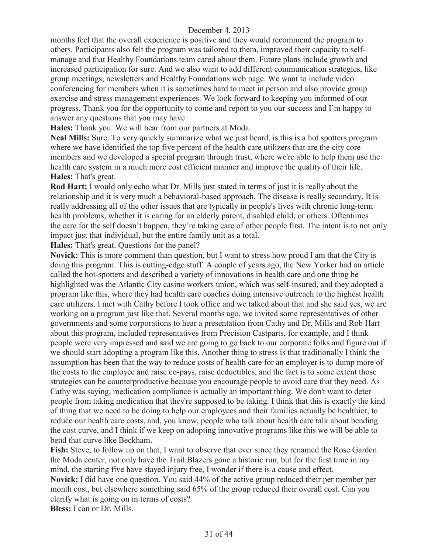months feel that the overall experience is positive and they would recommend the program to others. Participants also felt the program was tailored to them, improved their capacity to selfmanage and that Healthy Foundations team cared about them. Future plans include growth and increased participation for sure. And we also want to add different communication strategies, like group meetings, newsletters and Healthy Foundations web page. We want to include video conferencing for members when it is sometimes hard to meet in person and also provide group exercise and stress management experiences. We look forward to keeping you informed of our progress. Thank you for the opportunity to come and report to you our success and I'm happy to answer any questions that you may have.

**Hales:** Thank you. We will hear from our partners at Moda.

**Neal Mills:** Sure. To very quickly summarize what we just heard, is this is a hot spotters program where we have identified the top five percent of the health care utilizers that are the city core members and we developed a special program through trust, where we're able to help them use the health care system in a much more cost efficient manner and improve the quality of their life. **Hales:** That's great.

**Rod Hart:** I would only echo what Dr. Mills just stated in terms of just it is really about the relationship and it is very much a behavioral-based approach. The disease is really secondary. It is really addressing all of the other issues that are typically in people's lives with chronic long-term health problems, whether it is caring for an elderly parent, disabled child, or others. Oftentimes the care for the self doesn't happen, they're taking care of other people first. The intent is to not only impact just that individual, but the entire family unit as a total.

**Hales:** That's great. Questions for the panel?

**Novick:** This is more comment than question, but I want to stress how proud I am that the City is doing this program. This is cutting-edge stuff. A couple of years ago, the New Yorker had an article called the hot-spotters and described a variety of innovations in health care and one thing he highlighted was the Atlantic City casino workers union, which was self-insured, and they adopted a program like this, where they had health care coaches doing intensive outreach to the highest health care utilizers. I met with Cathy before I took office and we talked about that and she said yes, we are working on a program just like that. Several months ago, we invited some representatives of other governments and some corporations to hear a presentation from Cathy and Dr. Mills and Rob Hart about this program, included representatives from Precision Castparts, for example, and I think people were very impressed and said we are going to go back to our corporate folks and figure out if we should start adopting a program like this. Another thing to stress is that traditionally I think the assumption has been that the way to reduce costs of health care for an employer is to dump more of the costs to the employee and raise co-pays, raise deductibles, and the fact is to some extent those strategies can be counterproductive because you encourage people to avoid care that they need. As Cathy was saying, medication compliance is actually an important thing. We don't want to deter people from taking medication that they're supposed to be taking. I think that this is exactly the kind of thing that we need to be doing to help our employees and their families actually be healthier, to reduce our health care costs, and, you know, people who talk about health care talk about bending the cost curve, and I think if we keep on adopting innovative programs like this we will be able to bend that curve like Beckham.

**Fish:** Steve, to follow up on that, I want to observe that ever since they renamed the Rose Garden the Moda center, not only have the Trail Blazers gone a historic run, but for the first time in my mind, the starting five have stayed injury free, I wonder if there is a cause and effect. **Novick:** I did have one question. You said 44% of the active group reduced their per member per month cost, but elsewhere something said 65% of the group reduced their overall cost. Can you clarify what is going on in terms of costs? **Bless:** I can or Dr. Mills.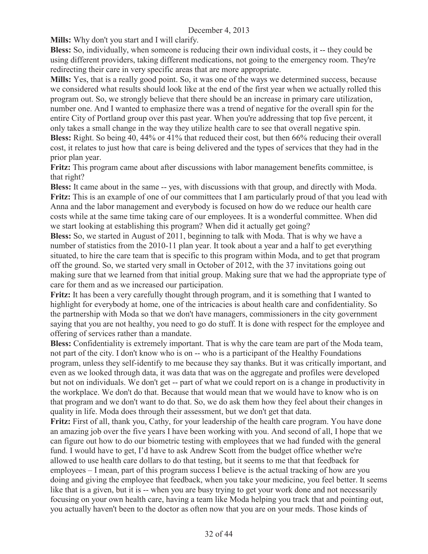**Mills:** Why don't you start and I will clarify.

**Bless:** So, individually, when someone is reducing their own individual costs, it -- they could be using different providers, taking different medications, not going to the emergency room. They're redirecting their care in very specific areas that are more appropriate.

**Mills:** Yes, that is a really good point. So, it was one of the ways we determined success, because we considered what results should look like at the end of the first year when we actually rolled this program out. So, we strongly believe that there should be an increase in primary care utilization, number one. And I wanted to emphasize there was a trend of negative for the overall spin for the entire City of Portland group over this past year. When you're addressing that top five percent, it only takes a small change in the way they utilize health care to see that overall negative spin. **Bless:** Right. So being 40, 44% or 41% that reduced their cost, but then 66% reducing their overall cost, it relates to just how that care is being delivered and the types of services that they had in the prior plan year.

**Fritz:** This program came about after discussions with labor management benefits committee, is that right?

**Bless:** It came about in the same -- yes, with discussions with that group, and directly with Moda. **Fritz:** This is an example of one of our committees that I am particularly proud of that you lead with Anna and the labor management and everybody is focused on how do we reduce our health care costs while at the same time taking care of our employees. It is a wonderful committee. When did we start looking at establishing this program? When did it actually get going?

**Bless:** So, we started in August of 2011, beginning to talk with Moda. That is why we have a number of statistics from the 2010-11 plan year. It took about a year and a half to get everything situated, to hire the care team that is specific to this program within Moda, and to get that program off the ground. So, we started very small in October of 2012, with the 37 invitations going out making sure that we learned from that initial group. Making sure that we had the appropriate type of care for them and as we increased our participation.

**Fritz:** It has been a very carefully thought through program, and it is something that I wanted to highlight for everybody at home, one of the intricacies is about health care and confidentiality. So the partnership with Moda so that we don't have managers, commissioners in the city government saying that you are not healthy, you need to go do stuff. It is done with respect for the employee and offering of services rather than a mandate.

**Bless:** Confidentiality is extremely important. That is why the care team are part of the Moda team, not part of the city. I don't know who is on -- who is a participant of the Healthy Foundations program, unless they self-identify to me because they say thanks. But it was critically important, and even as we looked through data, it was data that was on the aggregate and profiles were developed but not on individuals. We don't get -- part of what we could report on is a change in productivity in the workplace. We don't do that. Because that would mean that we would have to know who is on that program and we don't want to do that. So, we do ask them how they feel about their changes in quality in life. Moda does through their assessment, but we don't get that data.

**Fritz:** First of all, thank you, Cathy, for your leadership of the health care program. You have done an amazing job over the five years I have been working with you. And second of all, I hope that we can figure out how to do our biometric testing with employees that we had funded with the general fund. I would have to get, I'd have to ask Andrew Scott from the budget office whether we're allowed to use health care dollars to do that testing, but it seems to me that that feedback for employees – I mean, part of this program success I believe is the actual tracking of how are you doing and giving the employee that feedback, when you take your medicine, you feel better. It seems like that is a given, but it is -- when you are busy trying to get your work done and not necessarily focusing on your own health care, having a team like Moda helping you track that and pointing out, you actually haven't been to the doctor as often now that you are on your meds. Those kinds of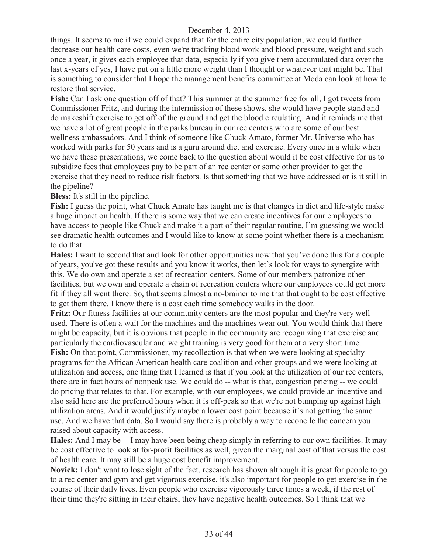things. It seems to me if we could expand that for the entire city population, we could further decrease our health care costs, even we're tracking blood work and blood pressure, weight and such once a year, it gives each employee that data, especially if you give them accumulated data over the last x-years of yes, I have put on a little more weight than I thought or whatever that might be. That is something to consider that I hope the management benefits committee at Moda can look at how to restore that service.

**Fish:** Can I ask one question off of that? This summer at the summer free for all, I got tweets from Commissioner Fritz, and during the intermission of these shows, she would have people stand and do makeshift exercise to get off of the ground and get the blood circulating. And it reminds me that we have a lot of great people in the parks bureau in our rec centers who are some of our best wellness ambassadors. And I think of someone like Chuck Amato, former Mr. Universe who has worked with parks for 50 years and is a guru around diet and exercise. Every once in a while when we have these presentations, we come back to the question about would it be cost effective for us to subsidize fees that employees pay to be part of an rec center or some other provider to get the exercise that they need to reduce risk factors. Is that something that we have addressed or is it still in the pipeline?

**Bless:** It's still in the pipeline.

**Fish:** I guess the point, what Chuck Amato has taught me is that changes in diet and life-style make a huge impact on health. If there is some way that we can create incentives for our employees to have access to people like Chuck and make it a part of their regular routine, I'm guessing we would see dramatic health outcomes and I would like to know at some point whether there is a mechanism to do that.

**Hales:** I want to second that and look for other opportunities now that you've done this for a couple of years, you've got these results and you know it works, then let's look for ways to synergize with this. We do own and operate a set of recreation centers. Some of our members patronize other facilities, but we own and operate a chain of recreation centers where our employees could get more fit if they all went there. So, that seems almost a no-brainer to me that that ought to be cost effective to get them there. I know there is a cost each time somebody walks in the door.

**Fritz:** Our fitness facilities at our community centers are the most popular and they're very well used. There is often a wait for the machines and the machines wear out. You would think that there might be capacity, but it is obvious that people in the community are recognizing that exercise and particularly the cardiovascular and weight training is very good for them at a very short time.

Fish: On that point, Commissioner, my recollection is that when we were looking at specialty programs for the African American health care coalition and other groups and we were looking at utilization and access, one thing that I learned is that if you look at the utilization of our rec centers, there are in fact hours of nonpeak use. We could do -- what is that, congestion pricing -- we could do pricing that relates to that. For example, with our employees, we could provide an incentive and also said here are the preferred hours when it is off-peak so that we're not bumping up against high utilization areas. And it would justify maybe a lower cost point because it's not getting the same use. And we have that data. So I would say there is probably a way to reconcile the concern you raised about capacity with access.

**Hales:** And I may be -- I may have been being cheap simply in referring to our own facilities. It may be cost effective to look at for-profit facilities as well, given the marginal cost of that versus the cost of health care. It may still be a huge cost benefit improvement.

**Novick:** I don't want to lose sight of the fact, research has shown although it is great for people to go to a rec center and gym and get vigorous exercise, it's also important for people to get exercise in the course of their daily lives. Even people who exercise vigorously three times a week, if the rest of their time they're sitting in their chairs, they have negative health outcomes. So I think that we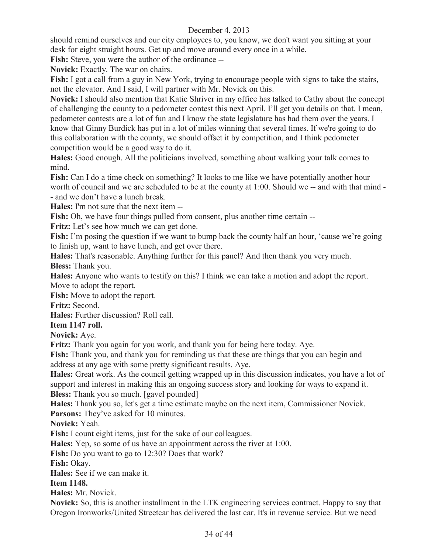should remind ourselves and our city employees to, you know, we don't want you sitting at your desk for eight straight hours. Get up and move around every once in a while.

**Fish:** Steve, you were the author of the ordinance --

**Novick:** Exactly. The war on chairs.

**Fish:** I got a call from a guy in New York, trying to encourage people with signs to take the stairs, not the elevator. And I said, I will partner with Mr. Novick on this.

**Novick:** I should also mention that Katie Shriver in my office has talked to Cathy about the concept of challenging the county to a pedometer contest this next April. I'll get you details on that. I mean, pedometer contests are a lot of fun and I know the state legislature has had them over the years. I know that Ginny Burdick has put in a lot of miles winning that several times. If we're going to do this collaboration with the county, we should offset it by competition, and I think pedometer competition would be a good way to do it.

**Hales:** Good enough. All the politicians involved, something about walking your talk comes to mind.

**Fish:** Can I do a time check on something? It looks to me like we have potentially another hour worth of council and we are scheduled to be at the county at 1:00. Should we -- and with that mind - - and we don't have a lunch break.

**Hales:** I'm not sure that the next item --

**Fish:** Oh, we have four things pulled from consent, plus another time certain --

Fritz: Let's see how much we can get done.

**Fish:** I'm posing the question if we want to bump back the county half an hour, 'cause we're going to finish up, want to have lunch, and get over there.

**Hales:** That's reasonable. Anything further for this panel? And then thank you very much. **Bless:** Thank you.

**Hales:** Anyone who wants to testify on this? I think we can take a motion and adopt the report. Move to adopt the report.

**Fish:** Move to adopt the report.

**Fritz:** Second.

**Hales:** Further discussion? Roll call.

**Item 1147 roll.**

**Novick:** Aye.

**Fritz:** Thank you again for you work, and thank you for being here today. Aye.

**Fish:** Thank you, and thank you for reminding us that these are things that you can begin and address at any age with some pretty significant results. Aye.

**Hales:** Great work. As the council getting wrapped up in this discussion indicates, you have a lot of support and interest in making this an ongoing success story and looking for ways to expand it.

**Bless:** Thank you so much. [gavel pounded]

**Hales:** Thank you so, let's get a time estimate maybe on the next item, Commissioner Novick.

Parsons: They've asked for 10 minutes.

**Novick:** Yeah.

**Fish:** I count eight items, just for the sake of our colleagues.

**Hales:** Yep, so some of us have an appointment across the river at 1:00.

**Fish:** Do you want to go to 12:30? Does that work?

**Fish:** Okay.

**Hales:** See if we can make it.

**Item 1148.**

**Hales:** Mr. Novick.

**Novick:** So, this is another installment in the LTK engineering services contract. Happy to say that Oregon Ironworks/United Streetcar has delivered the last car. It's in revenue service. But we need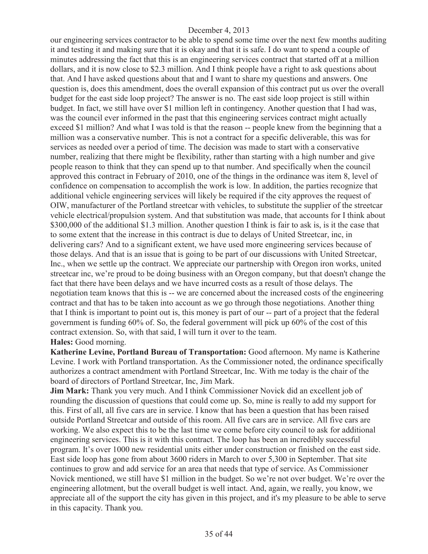our engineering services contractor to be able to spend some time over the next few months auditing it and testing it and making sure that it is okay and that it is safe. I do want to spend a couple of minutes addressing the fact that this is an engineering services contract that started off at a million dollars, and it is now close to \$2.3 million. And I think people have a right to ask questions about that. And I have asked questions about that and I want to share my questions and answers. One question is, does this amendment, does the overall expansion of this contract put us over the overall budget for the east side loop project? The answer is no. The east side loop project is still within budget. In fact, we still have over \$1 million left in contingency. Another question that I had was, was the council ever informed in the past that this engineering services contract might actually exceed \$1 million? And what I was told is that the reason -- people knew from the beginning that a million was a conservative number. This is not a contract for a specific deliverable, this was for services as needed over a period of time. The decision was made to start with a conservative number, realizing that there might be flexibility, rather than starting with a high number and give people reason to think that they can spend up to that number. And specifically when the council approved this contract in February of 2010, one of the things in the ordinance was item 8, level of confidence on compensation to accomplish the work is low. In addition, the parties recognize that additional vehicle engineering services will likely be required if the city approves the request of OIW, manufacturer of the Portland streetcar with vehicles, to substitute the supplier of the streetcar vehicle electrical/propulsion system. And that substitution was made, that accounts for I think about \$300,000 of the additional \$1.3 million. Another question I think is fair to ask is, is it the case that to some extent that the increase in this contract is due to delays of United Streetcar, inc, in delivering cars? And to a significant extent, we have used more engineering services because of those delays. And that is an issue that is going to be part of our discussions with United Streetcar, Inc., when we settle up the contract. We appreciate our partnership with Oregon iron works, united streetcar inc, we're proud to be doing business with an Oregon company, but that doesn't change the fact that there have been delays and we have incurred costs as a result of those delays. The negotiation team knows that this is -- we are concerned about the increased costs of the engineering contract and that has to be taken into account as we go through those negotiations. Another thing that I think is important to point out is, this money is part of our -- part of a project that the federal government is funding 60% of. So, the federal government will pick up 60% of the cost of this contract extension. So, with that said, I will turn it over to the team. **Hales:** Good morning.

**Katherine Levine, Portland Bureau of Transportation:** Good afternoon. My name is Katherine Levine. I work with Portland transportation. As the Commissioner noted, the ordinance specifically authorizes a contract amendment with Portland Streetcar, Inc. With me today is the chair of the board of directors of Portland Streetcar, Inc, Jim Mark.

**Jim Mark:** Thank you very much. And I think Commissioner Novick did an excellent job of rounding the discussion of questions that could come up. So, mine is really to add my support for this. First of all, all five cars are in service. I know that has been a question that has been raised outside Portland Streetcar and outside of this room. All five cars are in service. All five cars are working. We also expect this to be the last time we come before city council to ask for additional engineering services. This is it with this contract. The loop has been an incredibly successful program. It's over 1000 new residential units either under construction or finished on the east side. East side loop has gone from about 3600 riders in March to over 5,300 in September. That site continues to grow and add service for an area that needs that type of service. As Commissioner Novick mentioned, we still have \$1 million in the budget. So we're not over budget. We're over the engineering allotment, but the overall budget is well intact. And, again, we really, you know, we appreciate all of the support the city has given in this project, and it's my pleasure to be able to serve in this capacity. Thank you.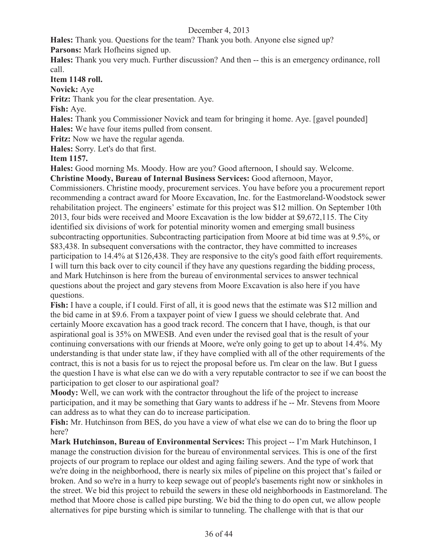**Hales:** Thank you. Questions for the team? Thank you both. Anyone else signed up? Parsons: Mark Hofheins signed up.

**Hales:** Thank you very much. Further discussion? And then -- this is an emergency ordinance, roll call.

**Item 1148 roll.**

**Novick:** Aye

**Fritz:** Thank you for the clear presentation. Aye.

**Fish:** Aye.

**Hales:** Thank you Commissioner Novick and team for bringing it home. Aye. [gavel pounded] **Hales:** We have four items pulled from consent.

**Fritz:** Now we have the regular agenda.

**Hales:** Sorry. Let's do that first.

**Item 1157.**

**Hales:** Good morning Ms. Moody. How are you? Good afternoon, I should say. Welcome.

**Christine Moody, Bureau of Internal Business Services:** Good afternoon, Mayor,

Commissioners. Christine moody, procurement services. You have before you a procurement report recommending a contract award for Moore Excavation, Inc. for the Eastmoreland-Woodstock sewer rehabilitation project. The engineers' estimate for this project was \$12 million. On September 10th 2013, four bids were received and Moore Excavation is the low bidder at \$9,672,115. The City identified six divisions of work for potential minority women and emerging small business subcontracting opportunities. Subcontracting participation from Moore at bid time was at 9.5%, or \$83,438. In subsequent conversations with the contractor, they have committed to increases participation to 14.4% at \$126,438. They are responsive to the city's good faith effort requirements. I will turn this back over to city council if they have any questions regarding the bidding process, and Mark Hutchinson is here from the bureau of environmental services to answer technical questions about the project and gary stevens from Moore Excavation is also here if you have questions.

**Fish:** I have a couple, if I could. First of all, it is good news that the estimate was \$12 million and the bid came in at \$9.6. From a taxpayer point of view I guess we should celebrate that. And certainly Moore excavation has a good track record. The concern that I have, though, is that our aspirational goal is 35% on MWESB. And even under the revised goal that is the result of your continuing conversations with our friends at Moore, we're only going to get up to about 14.4%. My understanding is that under state law, if they have complied with all of the other requirements of the contract, this is not a basis for us to reject the proposal before us. I'm clear on the law. But I guess the question I have is what else can we do with a very reputable contractor to see if we can boost the participation to get closer to our aspirational goal?

**Moody:** Well, we can work with the contractor throughout the life of the project to increase participation, and it may be something that Gary wants to address if he -- Mr. Stevens from Moore can address as to what they can do to increase participation.

**Fish:** Mr. Hutchinson from BES, do you have a view of what else we can do to bring the floor up here?

**Mark Hutchinson, Bureau of Environmental Services:** This project -- I'm Mark Hutchinson, I manage the construction division for the bureau of environmental services. This is one of the first projects of our program to replace our oldest and aging failing sewers. And the type of work that we're doing in the neighborhood, there is nearly six miles of pipeline on this project that's failed or broken. And so we're in a hurry to keep sewage out of people's basements right now or sinkholes in the street. We bid this project to rebuild the sewers in these old neighborhoods in Eastmoreland. The method that Moore chose is called pipe bursting. We bid the thing to do open cut, we allow people alternatives for pipe bursting which is similar to tunneling. The challenge with that is that our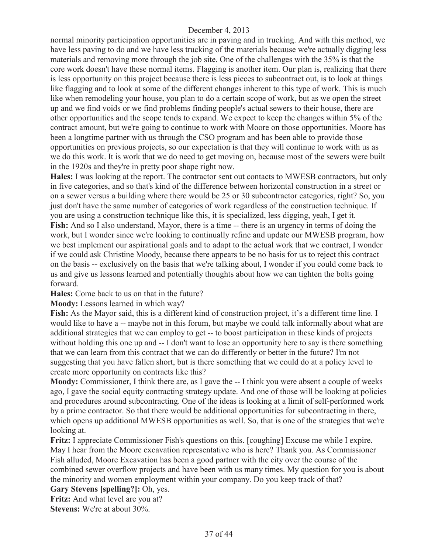normal minority participation opportunities are in paving and in trucking. And with this method, we have less paving to do and we have less trucking of the materials because we're actually digging less materials and removing more through the job site. One of the challenges with the 35% is that the core work doesn't have these normal items. Flagging is another item. Our plan is, realizing that there is less opportunity on this project because there is less pieces to subcontract out, is to look at things like flagging and to look at some of the different changes inherent to this type of work. This is much like when remodeling your house, you plan to do a certain scope of work, but as we open the street up and we find voids or we find problems finding people's actual sewers to their house, there are other opportunities and the scope tends to expand. We expect to keep the changes within 5% of the contract amount, but we're going to continue to work with Moore on those opportunities. Moore has been a longtime partner with us through the CSO program and has been able to provide those opportunities on previous projects, so our expectation is that they will continue to work with us as we do this work. It is work that we do need to get moving on, because most of the sewers were built in the 1920s and they're in pretty poor shape right now.

**Hales:** I was looking at the report. The contractor sent out contacts to MWESB contractors, but only in five categories, and so that's kind of the difference between horizontal construction in a street or on a sewer versus a building where there would be 25 or 30 subcontractor categories, right? So, you just don't have the same number of categories of work regardless of the construction technique. If you are using a construction technique like this, it is specialized, less digging, yeah, I get it. Fish: And so I also understand, Mayor, there is a time -- there is an urgency in terms of doing the work, but I wonder since we're looking to continually refine and update our MWESB program, how we best implement our aspirational goals and to adapt to the actual work that we contract, I wonder if we could ask Christine Moody, because there appears to be no basis for us to reject this contract on the basis -- exclusively on the basis that we're talking about, I wonder if you could come back to us and give us lessons learned and potentially thoughts about how we can tighten the bolts going forward.

**Hales:** Come back to us on that in the future?

**Moody:** Lessons learned in which way?

**Fish:** As the Mayor said, this is a different kind of construction project, it's a different time line. I would like to have a -- maybe not in this forum, but maybe we could talk informally about what are additional strategies that we can employ to get -- to boost participation in these kinds of projects without holding this one up and -- I don't want to lose an opportunity here to say is there something that we can learn from this contract that we can do differently or better in the future? I'm not suggesting that you have fallen short, but is there something that we could do at a policy level to create more opportunity on contracts like this?

**Moody:** Commissioner, I think there are, as I gave the -- I think you were absent a couple of weeks ago, I gave the social equity contracting strategy update. And one of those will be looking at policies and procedures around subcontracting. One of the ideas is looking at a limit of self-performed work by a prime contractor. So that there would be additional opportunities for subcontracting in there, which opens up additional MWESB opportunities as well. So, that is one of the strategies that we're looking at.

**Fritz:** I appreciate Commissioner Fish's questions on this. [coughing] Excuse me while I expire. May I hear from the Moore excavation representative who is here? Thank you. As Commissioner Fish alluded, Moore Excavation has been a good partner with the city over the course of the combined sewer overflow projects and have been with us many times. My question for you is about the minority and women employment within your company. Do you keep track of that?

**Gary Stevens [spelling?]:** Oh, yes.

Fritz: And what level are you at? **Stevens:** We're at about 30%.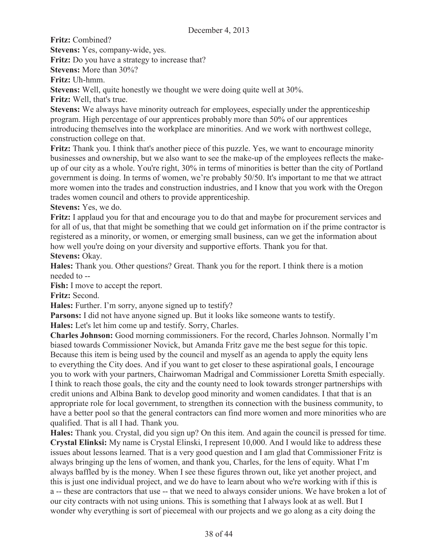**Fritz:** Combined?

**Stevens:** Yes, company-wide, yes.

**Fritz:** Do you have a strategy to increase that?

**Stevens:** More than 30%?

**Fritz:** Uh-hmm.

**Stevens:** Well, quite honestly we thought we were doing quite well at 30%.

**Fritz:** Well, that's true.

**Stevens:** We always have minority outreach for employees, especially under the apprenticeship program. High percentage of our apprentices probably more than 50% of our apprentices introducing themselves into the workplace are minorities. And we work with northwest college, construction college on that.

**Fritz:** Thank you. I think that's another piece of this puzzle. Yes, we want to encourage minority businesses and ownership, but we also want to see the make-up of the employees reflects the makeup of our city as a whole. You're right, 30% in terms of minorities is better than the city of Portland government is doing. In terms of women, we're probably 50/50. It's important to me that we attract more women into the trades and construction industries, and I know that you work with the Oregon trades women council and others to provide apprenticeship.

**Stevens:** Yes, we do.

**Fritz:** I applaud you for that and encourage you to do that and maybe for procurement services and for all of us, that that might be something that we could get information on if the prime contractor is registered as a minority, or women, or emerging small business, can we get the information about how well you're doing on your diversity and supportive efforts. Thank you for that. **Stevens: Okay.** 

**Hales:** Thank you. Other questions? Great. Thank you for the report. I think there is a motion needed to --

**Fish:** I move to accept the report.

**Fritz:** Second.

**Hales:** Further. I'm sorry, anyone signed up to testify?

**Parsons:** I did not have anyone signed up. But it looks like someone wants to testify.

**Hales:** Let's let him come up and testify. Sorry, Charles.

**Charles Johnson:** Good morning commissioners. For the record, Charles Johnson. Normally I'm biased towards Commissioner Novick, but Amanda Fritz gave me the best segue for this topic. Because this item is being used by the council and myself as an agenda to apply the equity lens to everything the City does. And if you want to get closer to these aspirational goals, I encourage you to work with your partners, Chairwoman Madrigal and Commissioner Loretta Smith especially. I think to reach those goals, the city and the county need to look towards stronger partnerships with credit unions and Albina Bank to develop good minority and women candidates. I that that is an appropriate role for local government, to strengthen its connection with the business community, to have a better pool so that the general contractors can find more women and more minorities who are qualified. That is all I had. Thank you.

**Hales:** Thank you. Crystal, did you sign up? On this item. And again the council is pressed for time. **Crystal Elinksi:** My name is Crystal Elinski, I represent 10,000. And I would like to address these issues about lessons learned. That is a very good question and I am glad that Commissioner Fritz is always bringing up the lens of women, and thank you, Charles, for the lens of equity. What I'm always baffled by is the money. When I see these figures thrown out, like yet another project, and this is just one individual project, and we do have to learn about who we're working with if this is a -- these are contractors that use -- that we need to always consider unions. We have broken a lot of our city contracts with not using unions. This is something that I always look at as well. But I wonder why everything is sort of piecemeal with our projects and we go along as a city doing the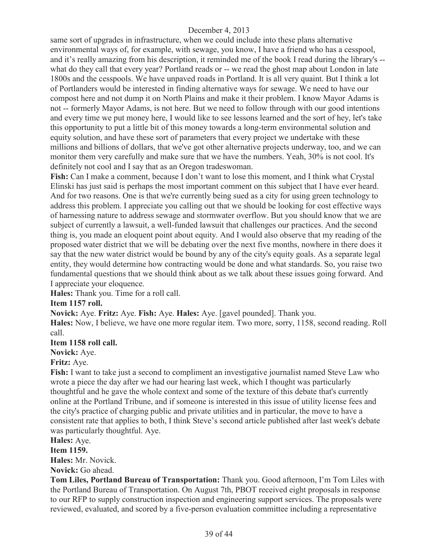same sort of upgrades in infrastructure, when we could include into these plans alternative environmental ways of, for example, with sewage, you know, I have a friend who has a cesspool, and it's really amazing from his description, it reminded me of the book I read during the library's - what do they call that every year? Portland reads or -- we read the ghost map about London in late 1800s and the cesspools. We have unpaved roads in Portland. It is all very quaint. But I think a lot of Portlanders would be interested in finding alternative ways for sewage. We need to have our compost here and not dump it on North Plains and make it their problem. I know Mayor Adams is not -- formerly Mayor Adams, is not here. But we need to follow through with our good intentions and every time we put money here, I would like to see lessons learned and the sort of hey, let's take this opportunity to put a little bit of this money towards a long-term environmental solution and equity solution, and have these sort of parameters that every project we undertake with these millions and billions of dollars, that we've got other alternative projects underway, too, and we can monitor them very carefully and make sure that we have the numbers. Yeah, 30% is not cool. It's definitely not cool and I say that as an Oregon tradeswoman.

**Fish:** Can I make a comment, because I don't want to lose this moment, and I think what Crystal Elinski has just said is perhaps the most important comment on this subject that I have ever heard. And for two reasons. One is that we're currently being sued as a city for using green technology to address this problem. I appreciate you calling out that we should be looking for cost effective ways of harnessing nature to address sewage and stormwater overflow. But you should know that we are subject of currently a lawsuit, a well-funded lawsuit that challenges our practices. And the second thing is, you made an eloquent point about equity. And I would also observe that my reading of the proposed water district that we will be debating over the next five months, nowhere in there does it say that the new water district would be bound by any of the city's equity goals. As a separate legal entity, they would determine how contracting would be done and what standards. So, you raise two fundamental questions that we should think about as we talk about these issues going forward. And I appreciate your eloquence.

**Hales:** Thank you. Time for a roll call.

# **Item 1157 roll.**

**Novick:** Aye. **Fritz:** Aye. **Fish:** Aye. **Hales:** Aye. [gavel pounded]. Thank you.

**Hales:** Now, I believe, we have one more regular item. Two more, sorry, 1158, second reading. Roll call.

**Item 1158 roll call.**

**Novick:** Aye.

**Fritz:** Aye.

**Fish:** I want to take just a second to compliment an investigative journalist named Steve Law who wrote a piece the day after we had our hearing last week, which I thought was particularly thoughtful and he gave the whole context and some of the texture of this debate that's currently online at the Portland Tribune, and if someone is interested in this issue of utility license fees and the city's practice of charging public and private utilities and in particular, the move to have a consistent rate that applies to both, I think Steve's second article published after last week's debate was particularly thoughtful. Aye.

**Hales:** Aye.

**Item 1159.**

**Hales:** Mr. Novick.

**Novick:** Go ahead.

**Tom Liles, Portland Bureau of Transportation:** Thank you. Good afternoon, I'm Tom Liles with the Portland Bureau of Transportation. On August 7th, PBOT received eight proposals in response to our RFP to supply construction inspection and engineering support services. The proposals were reviewed, evaluated, and scored by a five-person evaluation committee including a representative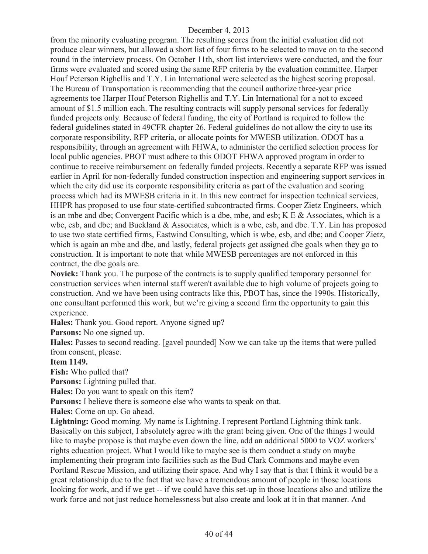from the minority evaluating program. The resulting scores from the initial evaluation did not produce clear winners, but allowed a short list of four firms to be selected to move on to the second round in the interview process. On October 11th, short list interviews were conducted, and the four firms were evaluated and scored using the same RFP criteria by the evaluation committee. Harper Houf Peterson Righellis and T.Y. Lin International were selected as the highest scoring proposal. The Bureau of Transportation is recommending that the council authorize three-year price agreements toe Harper Houf Peterson Righellis and T.Y. Lin International for a not to exceed amount of \$1.5 million each. The resulting contracts will supply personal services for federally funded projects only. Because of federal funding, the city of Portland is required to follow the federal guidelines stated in 49CFR chapter 26. Federal guidelines do not allow the city to use its corporate responsibility, RFP criteria, or allocate points for MWESB utilization. ODOT has a responsibility, through an agreement with FHWA, to administer the certified selection process for local public agencies. PBOT must adhere to this ODOT FHWA approved program in order to continue to receive reimbursement on federally funded projects. Recently a separate RFP was issued earlier in April for non-federally funded construction inspection and engineering support services in which the city did use its corporate responsibility criteria as part of the evaluation and scoring process which had its MWESB criteria in it. In this new contract for inspection technical services, HHPR has proposed to use four state-certified subcontracted firms. Cooper Zietz Engineers, which is an mbe and dbe; Convergent Pacific which is a dbe, mbe, and esb; K E & Associates, which is a wbe, esb, and dbe; and Buckland & Associates, which is a wbe, esb, and dbe. T.Y. Lin has proposed to use two state certified firms, Eastwind Consulting, which is wbe, esb, and dbe; and Cooper Zietz, which is again an mbe and dbe, and lastly, federal projects get assigned dbe goals when they go to construction. It is important to note that while MWESB percentages are not enforced in this contract, the dbe goals are.

**Novick:** Thank you. The purpose of the contracts is to supply qualified temporary personnel for construction services when internal staff weren't available due to high volume of projects going to construction. And we have been using contracts like this, PBOT has, since the 1990s. Historically, one consultant performed this work, but we're giving a second firm the opportunity to gain this experience.

**Hales:** Thank you. Good report. Anyone signed up?

**Parsons:** No one signed up.

**Hales:** Passes to second reading. [gavel pounded] Now we can take up the items that were pulled from consent, please.

#### **Item 1149.**

**Fish:** Who pulled that?

Parsons: Lightning pulled that.

**Hales:** Do you want to speak on this item?

**Parsons:** I believe there is someone else who wants to speak on that.

**Hales:** Come on up. Go ahead.

**Lightning:** Good morning. My name is Lightning. I represent Portland Lightning think tank. Basically on this subject, I absolutely agree with the grant being given. One of the things I would like to maybe propose is that maybe even down the line, add an additional 5000 to VOZ workers' rights education project. What I would like to maybe see is them conduct a study on maybe implementing their program into facilities such as the Bud Clark Commons and maybe even Portland Rescue Mission, and utilizing their space. And why I say that is that I think it would be a great relationship due to the fact that we have a tremendous amount of people in those locations looking for work, and if we get -- if we could have this set-up in those locations also and utilize the work force and not just reduce homelessness but also create and look at it in that manner. And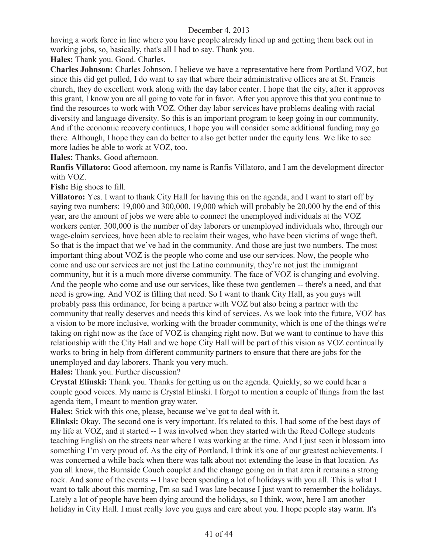having a work force in line where you have people already lined up and getting them back out in working jobs, so, basically, that's all I had to say. Thank you.

**Hales:** Thank you. Good. Charles.

**Charles Johnson:** Charles Johnson. I believe we have a representative here from Portland VOZ, but since this did get pulled, I do want to say that where their administrative offices are at St. Francis church, they do excellent work along with the day labor center. I hope that the city, after it approves this grant, I know you are all going to vote for in favor. After you approve this that you continue to find the resources to work with VOZ. Other day labor services have problems dealing with racial diversity and language diversity. So this is an important program to keep going in our community. And if the economic recovery continues, I hope you will consider some additional funding may go there. Although, I hope they can do better to also get better under the equity lens. We like to see more ladies be able to work at VOZ, too.

**Hales:** Thanks. Good afternoon.

**Ranfis Villatoro:** Good afternoon, my name is Ranfis Villatoro, and I am the development director with VOZ.

**Fish:** Big shoes to fill.

**Villatoro:** Yes. I want to thank City Hall for having this on the agenda, and I want to start off by saying two numbers: 19,000 and 300,000. 19,000 which will probably be 20,000 by the end of this year, are the amount of jobs we were able to connect the unemployed individuals at the VOZ workers center. 300,000 is the number of day laborers or unemployed individuals who, through our wage-claim services, have been able to reclaim their wages, who have been victims of wage theft. So that is the impact that we've had in the community. And those are just two numbers. The most important thing about VOZ is the people who come and use our services. Now, the people who come and use our services are not just the Latino community, they're not just the immigrant community, but it is a much more diverse community. The face of VOZ is changing and evolving. And the people who come and use our services, like these two gentlemen -- there's a need, and that need is growing. And VOZ is filling that need. So I want to thank City Hall, as you guys will probably pass this ordinance, for being a partner with VOZ but also being a partner with the community that really deserves and needs this kind of services. As we look into the future, VOZ has a vision to be more inclusive, working with the broader community, which is one of the things we're taking on right now as the face of VOZ is changing right now. But we want to continue to have this relationship with the City Hall and we hope City Hall will be part of this vision as VOZ continually works to bring in help from different community partners to ensure that there are jobs for the unemployed and day laborers. Thank you very much.

**Hales:** Thank you. Further discussion?

**Crystal Elinski:** Thank you. Thanks for getting us on the agenda. Quickly, so we could hear a couple good voices. My name is Crystal Elinski. I forgot to mention a couple of things from the last agenda item, I meant to mention gray water.

**Hales:** Stick with this one, please, because we've got to deal with it.

**Elinksi:** Okay. The second one is very important. It's related to this. I had some of the best days of my life at VOZ, and it started -- I was involved when they started with the Reed College students teaching English on the streets near where I was working at the time. And I just seen it blossom into something I'm very proud of. As the city of Portland, I think it's one of our greatest achievements. I was concerned a while back when there was talk about not extending the lease in that location. As you all know, the Burnside Couch couplet and the change going on in that area it remains a strong rock. And some of the events -- I have been spending a lot of holidays with you all. This is what I want to talk about this morning, I'm so sad I was late because I just want to remember the holidays. Lately a lot of people have been dying around the holidays, so I think, wow, here I am another holiday in City Hall. I must really love you guys and care about you. I hope people stay warm. It's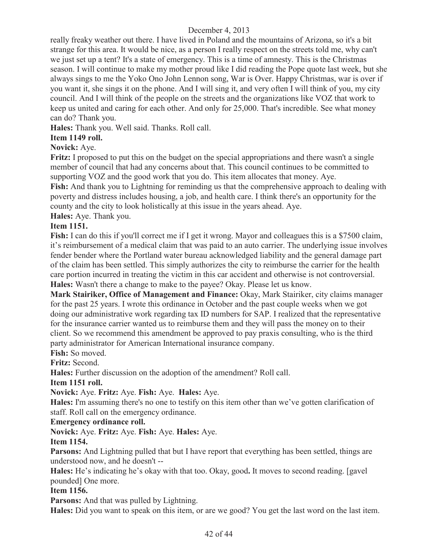really freaky weather out there. I have lived in Poland and the mountains of Arizona, so it's a bit strange for this area. It would be nice, as a person I really respect on the streets told me, why can't we just set up a tent? It's a state of emergency. This is a time of amnesty. This is the Christmas season. I will continue to make my mother proud like I did reading the Pope quote last week, but she always sings to me the Yoko Ono John Lennon song, War is Over. Happy Christmas, war is over if you want it, she sings it on the phone. And I will sing it, and very often I will think of you, my city council. And I will think of the people on the streets and the organizations like VOZ that work to keep us united and caring for each other. And only for 25,000. That's incredible. See what money can do? Thank you.

**Hales:** Thank you. Well said. Thanks. Roll call.

# **Item 1149 roll.**

# **Novick:** Aye.

**Fritz:** I proposed to put this on the budget on the special appropriations and there wasn't a single member of council that had any concerns about that. This council continues to be committed to supporting VOZ and the good work that you do. This item allocates that money. Aye. **Fish:** And thank you to Lightning for reminding us that the comprehensive approach to dealing with poverty and distress includes housing, a job, and health care. I think there's an opportunity for the county and the city to look holistically at this issue in the years ahead. Aye.

**Hales:** Aye. Thank you.

# **Item 1151.**

**Fish:** I can do this if you'll correct me if I get it wrong. Mayor and colleagues this is a \$7500 claim, it's reimbursement of a medical claim that was paid to an auto carrier. The underlying issue involves fender bender where the Portland water bureau acknowledged liability and the general damage part of the claim has been settled. This simply authorizes the city to reimburse the carrier for the health care portion incurred in treating the victim in this car accident and otherwise is not controversial. **Hales:** Wasn't there a change to make to the payee? Okay. Please let us know.

**Mark Stairiker, Office of Management and Finance:** Okay, Mark Stairiker, city claims manager for the past 25 years. I wrote this ordinance in October and the past couple weeks when we got doing our administrative work regarding tax ID numbers for SAP. I realized that the representative for the insurance carrier wanted us to reimburse them and they will pass the money on to their client. So we recommend this amendment be approved to pay praxis consulting, who is the third party administrator for American International insurance company.

**Fish:** So moved.

**Fritz:** Second.

**Hales:** Further discussion on the adoption of the amendment? Roll call.

# **Item 1151 roll.**

# **Novick:** Aye. **Fritz:** Aye. **Fish:** Aye. **Hales:** Aye.

**Hales:** I'm assuming there's no one to testify on this item other than we've gotten clarification of staff. Roll call on the emergency ordinance.

# **Emergency ordinance roll.**

**Novick:** Aye. **Fritz:** Aye. **Fish:** Aye. **Hales:** Aye.

# **Item 1154.**

**Parsons:** And Lightning pulled that but I have report that everything has been settled, things are understood now, and he doesn't --

**Hales:** He's indicating he's okay with that too. Okay, good**.** It moves to second reading. [gavel pounded] One more.

# **Item 1156.**

**Parsons:** And that was pulled by Lightning.

**Hales:** Did you want to speak on this item, or are we good? You get the last word on the last item.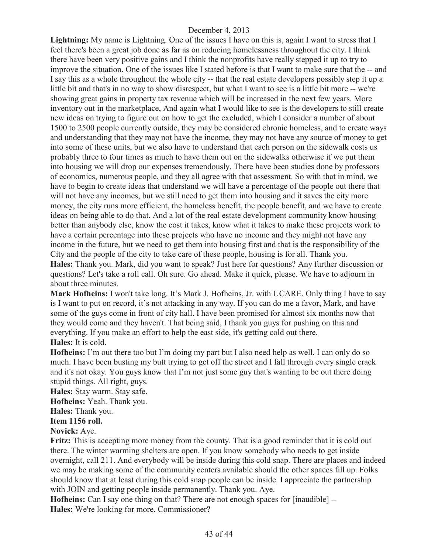Lightning: My name is Lightning. One of the issues I have on this is, again I want to stress that I feel there's been a great job done as far as on reducing homelessness throughout the city. I think there have been very positive gains and I think the nonprofits have really stepped it up to try to improve the situation. One of the issues like I stated before is that I want to make sure that the -- and I say this as a whole throughout the whole city -- that the real estate developers possibly step it up a little bit and that's in no way to show disrespect, but what I want to see is a little bit more -- we're showing great gains in property tax revenue which will be increased in the next few years. More inventory out in the marketplace, And again what I would like to see is the developers to still create new ideas on trying to figure out on how to get the excluded, which I consider a number of about 1500 to 2500 people currently outside, they may be considered chronic homeless, and to create ways and understanding that they may not have the income, they may not have any source of money to get into some of these units, but we also have to understand that each person on the sidewalk costs us probably three to four times as much to have them out on the sidewalks otherwise if we put them into housing we will drop our expenses tremendously. There have been studies done by professors of economics, numerous people, and they all agree with that assessment. So with that in mind, we have to begin to create ideas that understand we will have a percentage of the people out there that will not have any incomes, but we still need to get them into housing and it saves the city more money, the city runs more efficient, the homeless benefit, the people benefit, and we have to create ideas on being able to do that. And a lot of the real estate development community know housing better than anybody else, know the cost it takes, know what it takes to make these projects work to have a certain percentage into these projects who have no income and they might not have any income in the future, but we need to get them into housing first and that is the responsibility of the City and the people of the city to take care of these people, housing is for all. Thank you. **Hales:** Thank you. Mark, did you want to speak? Just here for questions? Any further discussion or questions? Let's take a roll call. Oh sure. Go ahead. Make it quick, please. We have to adjourn in about three minutes.

**Mark Hofheins:** I won't take long. It's Mark J. Hofheins, Jr. with UCARE. Only thing I have to say is I want to put on record, it's not attacking in any way. If you can do me a favor, Mark, and have some of the guys come in front of city hall. I have been promised for almost six months now that they would come and they haven't. That being said, I thank you guys for pushing on this and everything. If you make an effort to help the east side, it's getting cold out there. **Hales:** It is cold.

**Hofheins:** I'm out there too but I'm doing my part but I also need help as well. I can only do so much. I have been busting my butt trying to get off the street and I fall through every single crack and it's not okay. You guys know that I'm not just some guy that's wanting to be out there doing stupid things. All right, guys.

**Hales:** Stay warm. Stay safe.

**Hofheins:** Yeah. Thank you.

**Hales:** Thank you.

# **Item 1156 roll.**

**Novick:** Aye.

**Fritz:** This is accepting more money from the county. That is a good reminder that it is cold out there. The winter warming shelters are open. If you know somebody who needs to get inside overnight, call 211. And everybody will be inside during this cold snap. There are places and indeed we may be making some of the community centers available should the other spaces fill up. Folks should know that at least during this cold snap people can be inside. I appreciate the partnership with JOIN and getting people inside permanently. Thank you. Aye.

**Hofheins:** Can I say one thing on that? There are not enough spaces for [inaudible] --**Hales:** We're looking for more. Commissioner?